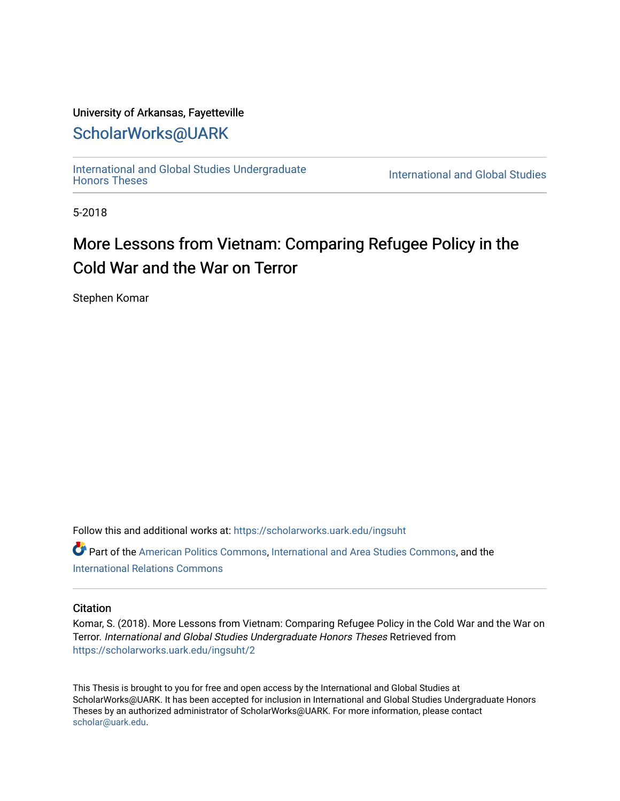## University of Arkansas, Fayetteville

# [ScholarWorks@UARK](https://scholarworks.uark.edu/)

[International and Global Studies Undergraduate](https://scholarworks.uark.edu/ingsuht) 

**International and Global Studies** 

5-2018

# More Lessons from Vietnam: Comparing Refugee Policy in the Cold War and the War on Terror

Stephen Komar

Follow this and additional works at: [https://scholarworks.uark.edu/ingsuht](https://scholarworks.uark.edu/ingsuht?utm_source=scholarworks.uark.edu%2Fingsuht%2F2&utm_medium=PDF&utm_campaign=PDFCoverPages)

Part of the [American Politics Commons,](http://network.bepress.com/hgg/discipline/387?utm_source=scholarworks.uark.edu%2Fingsuht%2F2&utm_medium=PDF&utm_campaign=PDFCoverPages) [International and Area Studies Commons,](http://network.bepress.com/hgg/discipline/360?utm_source=scholarworks.uark.edu%2Fingsuht%2F2&utm_medium=PDF&utm_campaign=PDFCoverPages) and the [International Relations Commons](http://network.bepress.com/hgg/discipline/389?utm_source=scholarworks.uark.edu%2Fingsuht%2F2&utm_medium=PDF&utm_campaign=PDFCoverPages)

#### **Citation**

Komar, S. (2018). More Lessons from Vietnam: Comparing Refugee Policy in the Cold War and the War on Terror. International and Global Studies Undergraduate Honors Theses Retrieved from [https://scholarworks.uark.edu/ingsuht/2](https://scholarworks.uark.edu/ingsuht/2?utm_source=scholarworks.uark.edu%2Fingsuht%2F2&utm_medium=PDF&utm_campaign=PDFCoverPages) 

This Thesis is brought to you for free and open access by the International and Global Studies at ScholarWorks@UARK. It has been accepted for inclusion in International and Global Studies Undergraduate Honors Theses by an authorized administrator of ScholarWorks@UARK. For more information, please contact [scholar@uark.edu](mailto:scholar@uark.edu).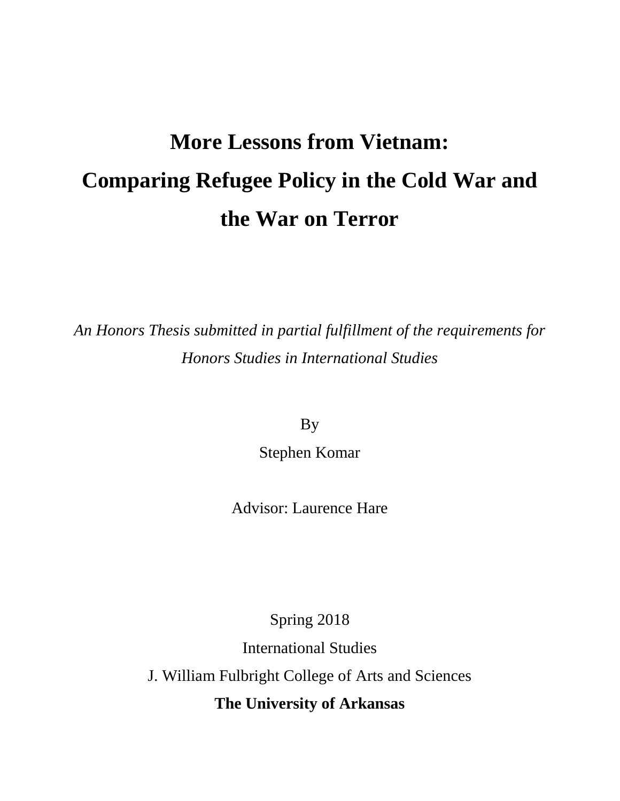# **More Lessons from Vietnam: Comparing Refugee Policy in the Cold War and the War on Terror**

*An Honors Thesis submitted in partial fulfillment of the requirements for Honors Studies in International Studies*

By

Stephen Komar

Advisor: Laurence Hare

Spring 2018

International Studies

J. William Fulbright College of Arts and Sciences

**The University of Arkansas**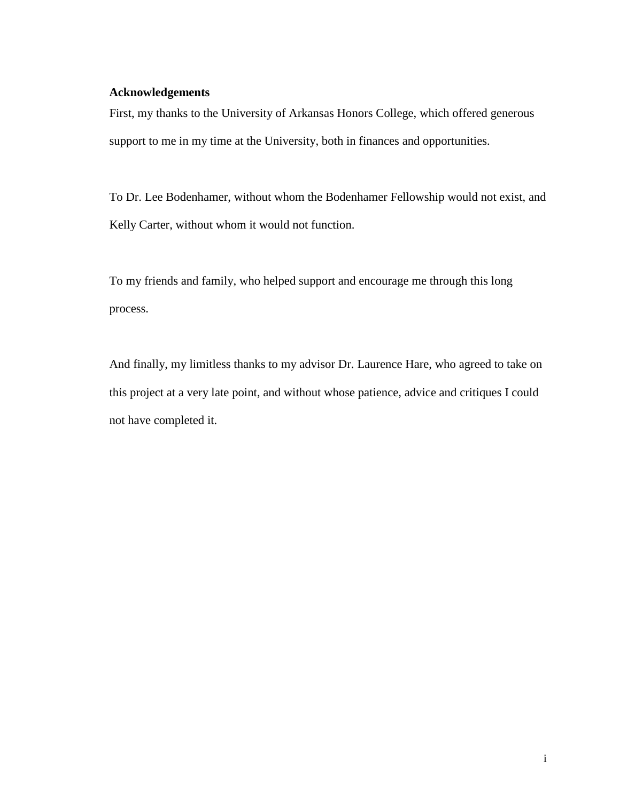#### <span id="page-2-0"></span>**Acknowledgements**

First, my thanks to the University of Arkansas Honors College, which offered generous support to me in my time at the University, both in finances and opportunities.

To Dr. Lee Bodenhamer, without whom the Bodenhamer Fellowship would not exist, and Kelly Carter, without whom it would not function.

To my friends and family, who helped support and encourage me through this long process.

And finally, my limitless thanks to my advisor Dr. Laurence Hare, who agreed to take on this project at a very late point, and without whose patience, advice and critiques I could not have completed it.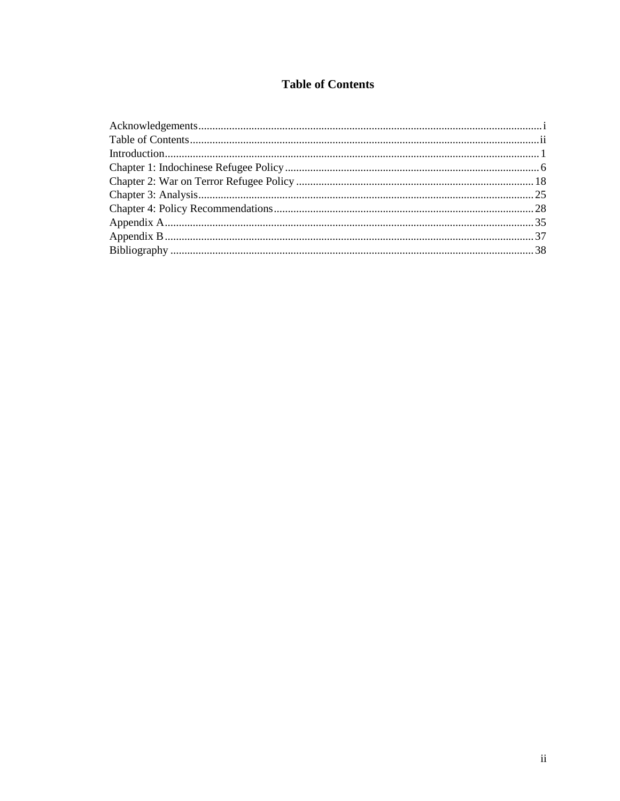## **Table of Contents**

<span id="page-3-0"></span>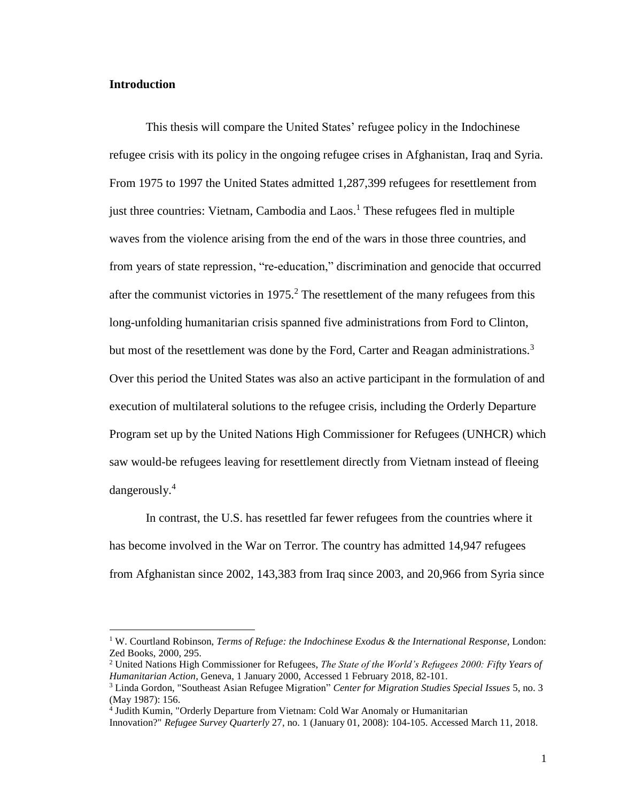#### <span id="page-4-0"></span>**Introduction**

 $\overline{a}$ 

This thesis will compare the United States' refugee policy in the Indochinese refugee crisis with its policy in the ongoing refugee crises in Afghanistan, Iraq and Syria. From 1975 to 1997 the United States admitted 1,287,399 refugees for resettlement from just three countries: Vietnam, Cambodia and Laos.<sup>1</sup> These refugees fled in multiple waves from the violence arising from the end of the wars in those three countries, and from years of state repression, "re-education," discrimination and genocide that occurred after the communist victories in  $1975<sup>2</sup>$ . The resettlement of the many refugees from this long-unfolding humanitarian crisis spanned five administrations from Ford to Clinton, but most of the resettlement was done by the Ford, Carter and Reagan administrations.<sup>3</sup> Over this period the United States was also an active participant in the formulation of and execution of multilateral solutions to the refugee crisis, including the Orderly Departure Program set up by the United Nations High Commissioner for Refugees (UNHCR) which saw would-be refugees leaving for resettlement directly from Vietnam instead of fleeing dangerously.<sup>4</sup>

In contrast, the U.S. has resettled far fewer refugees from the countries where it has become involved in the War on Terror. The country has admitted 14,947 refugees from Afghanistan since 2002, 143,383 from Iraq since 2003, and 20,966 from Syria since

<sup>1</sup> W. Courtland Robinson, *Terms of Refuge: the Indochinese Exodus & the International Response*, London: Zed Books, 2000, 295.

<sup>2</sup> United Nations High Commissioner for Refugees, *The State of the World's Refugees 2000: Fifty Years of Humanitarian Action*, Geneva, 1 January 2000, Accessed 1 February 2018, 82-101.

<sup>3</sup> Linda Gordon, "Southeast Asian Refugee Migration" *Center for Migration Studies Special Issues* 5, no. 3 (May 1987): 156.

<sup>&</sup>lt;sup>4</sup> Judith Kumin, "Orderly Departure from Vietnam: Cold War Anomaly or Humanitarian

Innovation?" *Refugee Survey Quarterly* 27, no. 1 (January 01, 2008): 104-105. Accessed March 11, 2018.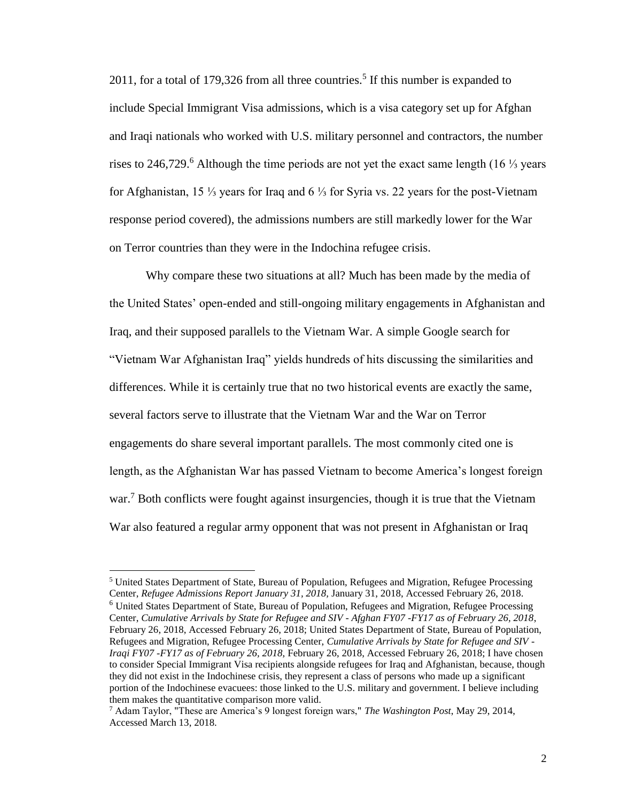2011, for a total of 179,326 from all three countries.<sup>5</sup> If this number is expanded to include Special Immigrant Visa admissions, which is a visa category set up for Afghan and Iraqi nationals who worked with U.S. military personnel and contractors, the number rises to 246,729.<sup>6</sup> Although the time periods are not yet the exact same length (16 ¼ years for Afghanistan, 15 ⅓ years for Iraq and 6 ⅓ for Syria vs. 22 years for the post-Vietnam response period covered), the admissions numbers are still markedly lower for the War on Terror countries than they were in the Indochina refugee crisis.

Why compare these two situations at all? Much has been made by the media of the United States' open-ended and still-ongoing military engagements in Afghanistan and Iraq, and their supposed parallels to the Vietnam War. A simple Google search for "Vietnam War Afghanistan Iraq" yields hundreds of hits discussing the similarities and differences. While it is certainly true that no two historical events are exactly the same, several factors serve to illustrate that the Vietnam War and the War on Terror engagements do share several important parallels. The most commonly cited one is length, as the Afghanistan War has passed Vietnam to become America's longest foreign war.<sup>7</sup> Both conflicts were fought against insurgencies, though it is true that the Vietnam War also featured a regular army opponent that was not present in Afghanistan or Iraq

<sup>5</sup> United States Department of State, Bureau of Population, Refugees and Migration, Refugee Processing Center, *Refugee Admissions Report January 31, 2018,* January 31, 2018, Accessed February 26, 2018. <sup>6</sup> United States Department of State, Bureau of Population, Refugees and Migration, Refugee Processing Center, *Cumulative Arrivals by State for Refugee and SIV - Afghan FY07 -FY17 as of February 26, 2018*, February 26, 2018, Accessed February 26, 2018; United States Department of State, Bureau of Population, Refugees and Migration, Refugee Processing Center, *Cumulative Arrivals by State for Refugee and SIV - Iraqi FY07 -FY17 as of February 26, 2018*, February 26, 2018, Accessed February 26, 2018; I have chosen to consider Special Immigrant Visa recipients alongside refugees for Iraq and Afghanistan, because, though they did not exist in the Indochinese crisis, they represent a class of persons who made up a significant portion of the Indochinese evacuees: those linked to the U.S. military and government. I believe including them makes the quantitative comparison more valid.

<sup>7</sup> Adam Taylor, "These are America's 9 longest foreign wars," *The Washington Post*, May 29, 2014, Accessed March 13, 2018.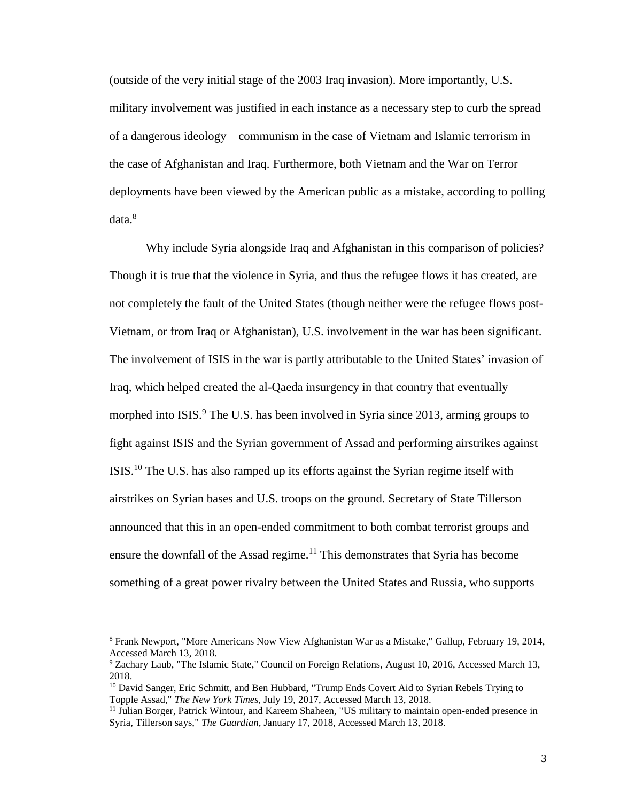(outside of the very initial stage of the 2003 Iraq invasion). More importantly, U.S. military involvement was justified in each instance as a necessary step to curb the spread of a dangerous ideology – communism in the case of Vietnam and Islamic terrorism in the case of Afghanistan and Iraq. Furthermore, both Vietnam and the War on Terror deployments have been viewed by the American public as a mistake, according to polling data.<sup>8</sup>

Why include Syria alongside Iraq and Afghanistan in this comparison of policies? Though it is true that the violence in Syria, and thus the refugee flows it has created, are not completely the fault of the United States (though neither were the refugee flows post-Vietnam, or from Iraq or Afghanistan), U.S. involvement in the war has been significant. The involvement of ISIS in the war is partly attributable to the United States' invasion of Iraq, which helped created the al-Qaeda insurgency in that country that eventually morphed into ISIS.<sup>9</sup> The U.S. has been involved in Syria since 2013, arming groups to fight against ISIS and the Syrian government of Assad and performing airstrikes against ISIS.<sup>10</sup> The U.S. has also ramped up its efforts against the Syrian regime itself with airstrikes on Syrian bases and U.S. troops on the ground. Secretary of State Tillerson announced that this in an open-ended commitment to both combat terrorist groups and ensure the downfall of the Assad regime.<sup>11</sup> This demonstrates that Syria has become something of a great power rivalry between the United States and Russia, who supports

<sup>8</sup> Frank Newport, "More Americans Now View Afghanistan War as a Mistake," Gallup, February 19, 2014, Accessed March 13, 2018.

<sup>9</sup> Zachary Laub, "The Islamic State," Council on Foreign Relations, August 10, 2016, Accessed March 13, 2018.

<sup>&</sup>lt;sup>10</sup> David Sanger, Eric Schmitt, and Ben Hubbard, "Trump Ends Covert Aid to Syrian Rebels Trying to Topple Assad," *The New York Times*, July 19, 2017, Accessed March 13, 2018.

<sup>&</sup>lt;sup>11</sup> Julian Borger, Patrick Wintour, and Kareem Shaheen, "US military to maintain open-ended presence in Syria, Tillerson says," *The Guardian*, January 17, 2018, Accessed March 13, 2018.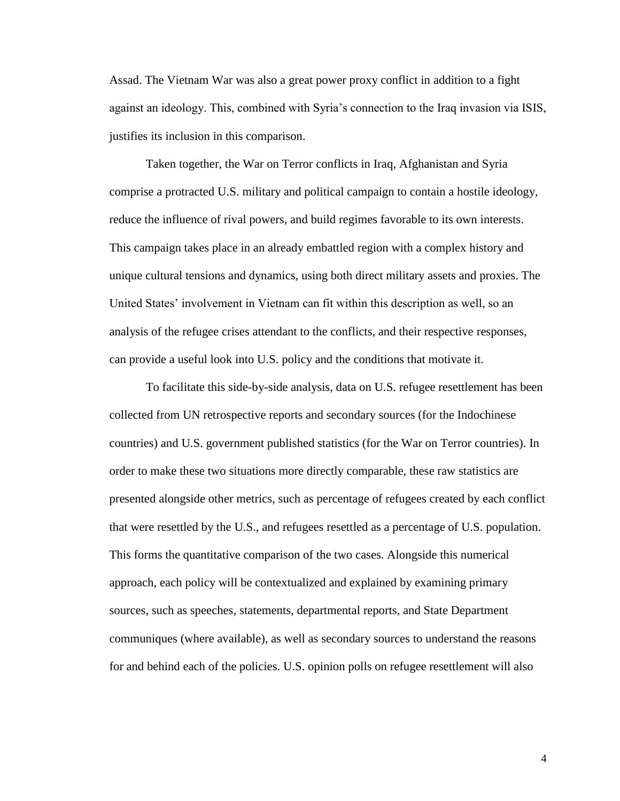Assad. The Vietnam War was also a great power proxy conflict in addition to a fight against an ideology. This, combined with Syria's connection to the Iraq invasion via ISIS, justifies its inclusion in this comparison.

Taken together, the War on Terror conflicts in Iraq, Afghanistan and Syria comprise a protracted U.S. military and political campaign to contain a hostile ideology, reduce the influence of rival powers, and build regimes favorable to its own interests. This campaign takes place in an already embattled region with a complex history and unique cultural tensions and dynamics, using both direct military assets and proxies. The United States' involvement in Vietnam can fit within this description as well, so an analysis of the refugee crises attendant to the conflicts, and their respective responses, can provide a useful look into U.S. policy and the conditions that motivate it.

To facilitate this side-by-side analysis, data on U.S. refugee resettlement has been collected from UN retrospective reports and secondary sources (for the Indochinese countries) and U.S. government published statistics (for the War on Terror countries). In order to make these two situations more directly comparable, these raw statistics are presented alongside other metrics, such as percentage of refugees created by each conflict that were resettled by the U.S., and refugees resettled as a percentage of U.S. population. This forms the quantitative comparison of the two cases. Alongside this numerical approach, each policy will be contextualized and explained by examining primary sources, such as speeches, statements, departmental reports, and State Department communiques (where available), as well as secondary sources to understand the reasons for and behind each of the policies. U.S. opinion polls on refugee resettlement will also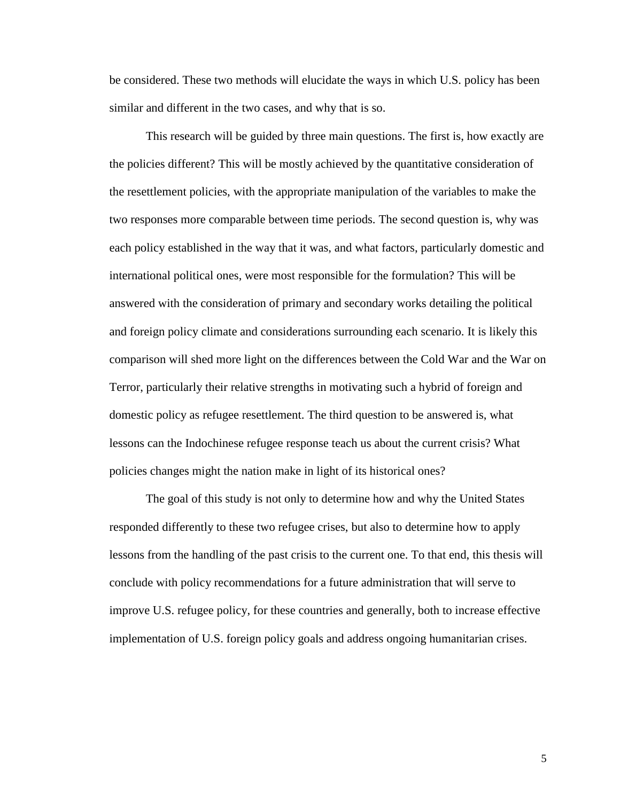be considered. These two methods will elucidate the ways in which U.S. policy has been similar and different in the two cases, and why that is so.

This research will be guided by three main questions. The first is, how exactly are the policies different? This will be mostly achieved by the quantitative consideration of the resettlement policies, with the appropriate manipulation of the variables to make the two responses more comparable between time periods. The second question is, why was each policy established in the way that it was, and what factors, particularly domestic and international political ones, were most responsible for the formulation? This will be answered with the consideration of primary and secondary works detailing the political and foreign policy climate and considerations surrounding each scenario. It is likely this comparison will shed more light on the differences between the Cold War and the War on Terror, particularly their relative strengths in motivating such a hybrid of foreign and domestic policy as refugee resettlement. The third question to be answered is, what lessons can the Indochinese refugee response teach us about the current crisis? What policies changes might the nation make in light of its historical ones?

The goal of this study is not only to determine how and why the United States responded differently to these two refugee crises, but also to determine how to apply lessons from the handling of the past crisis to the current one. To that end, this thesis will conclude with policy recommendations for a future administration that will serve to improve U.S. refugee policy, for these countries and generally, both to increase effective implementation of U.S. foreign policy goals and address ongoing humanitarian crises.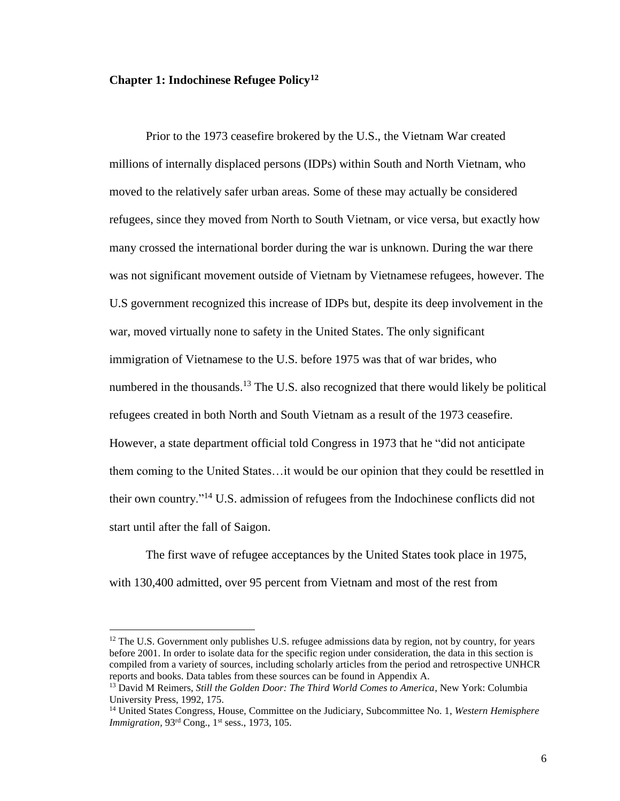#### <span id="page-9-0"></span>**Chapter 1: Indochinese Refugee Policy<sup>12</sup>**

 $\overline{a}$ 

Prior to the 1973 ceasefire brokered by the U.S., the Vietnam War created millions of internally displaced persons (IDPs) within South and North Vietnam, who moved to the relatively safer urban areas. Some of these may actually be considered refugees, since they moved from North to South Vietnam, or vice versa, but exactly how many crossed the international border during the war is unknown. During the war there was not significant movement outside of Vietnam by Vietnamese refugees, however. The U.S government recognized this increase of IDPs but, despite its deep involvement in the war, moved virtually none to safety in the United States. The only significant immigration of Vietnamese to the U.S. before 1975 was that of war brides, who numbered in the thousands.<sup>13</sup> The U.S. also recognized that there would likely be political refugees created in both North and South Vietnam as a result of the 1973 ceasefire. However, a state department official told Congress in 1973 that he "did not anticipate them coming to the United States…it would be our opinion that they could be resettled in their own country."<sup>14</sup> U.S. admission of refugees from the Indochinese conflicts did not start until after the fall of Saigon.

The first wave of refugee acceptances by the United States took place in 1975, with 130,400 admitted, over 95 percent from Vietnam and most of the rest from

 $12$  The U.S. Government only publishes U.S. refugee admissions data by region, not by country, for years before 2001. In order to isolate data for the specific region under consideration, the data in this section is compiled from a variety of sources, including scholarly articles from the period and retrospective UNHCR reports and books. Data tables from these sources can be found in Appendix A.

<sup>13</sup> David M Reimers, *Still the Golden Door: The Third World Comes to America*, New York: Columbia University Press, 1992, 175.

<sup>14</sup> United States Congress, House, Committee on the Judiciary, Subcommittee No. 1, *Western Hemisphere Immigration*, 93<sup>rd</sup> Cong., 1<sup>st</sup> sess., 1973, 105.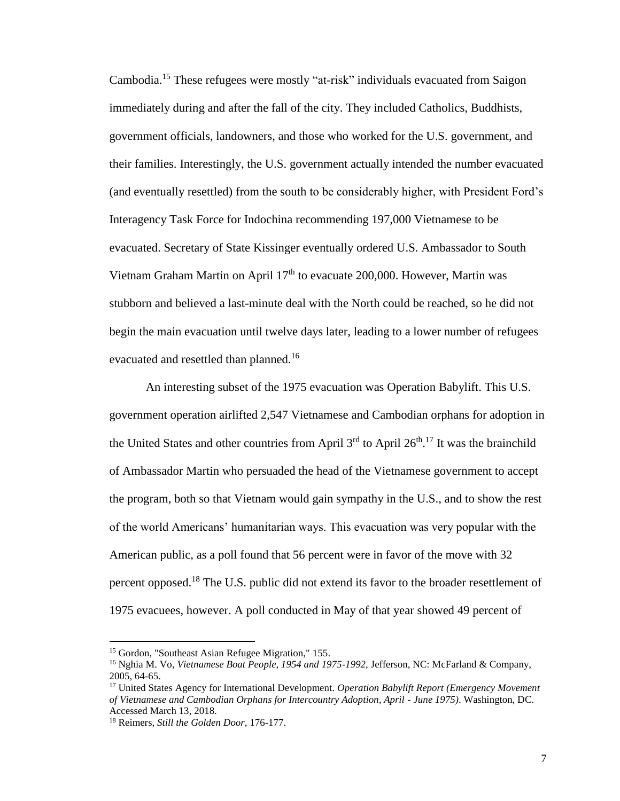Cambodia.<sup>15</sup> These refugees were mostly "at-risk" individuals evacuated from Saigon immediately during and after the fall of the city. They included Catholics, Buddhists, government officials, landowners, and those who worked for the U.S. government, and their families. Interestingly, the U.S. government actually intended the number evacuated (and eventually resettled) from the south to be considerably higher, with President Ford's Interagency Task Force for Indochina recommending 197,000 Vietnamese to be evacuated. Secretary of State Kissinger eventually ordered U.S. Ambassador to South Vietnam Graham Martin on April 17<sup>th</sup> to evacuate 200,000. However, Martin was stubborn and believed a last-minute deal with the North could be reached, so he did not begin the main evacuation until twelve days later, leading to a lower number of refugees evacuated and resettled than planned.<sup>16</sup>

An interesting subset of the 1975 evacuation was Operation Babylift. This U.S. government operation airlifted 2,547 Vietnamese and Cambodian orphans for adoption in the United States and other countries from April  $3<sup>rd</sup>$  to April  $26<sup>th</sup>$ .<sup>17</sup> It was the brainchild of Ambassador Martin who persuaded the head of the Vietnamese government to accept the program, both so that Vietnam would gain sympathy in the U.S., and to show the rest of the world Americans' humanitarian ways. This evacuation was very popular with the American public, as a poll found that 56 percent were in favor of the move with 32 percent opposed.<sup>18</sup> The U.S. public did not extend its favor to the broader resettlement of 1975 evacuees, however. A poll conducted in May of that year showed 49 percent of

<sup>&</sup>lt;sup>15</sup> Gordon, "Southeast Asian Refugee Migration," 155.

<sup>16</sup> Nghia M. Vo, *Vietnamese Boat People, 1954 and 1975-1992*, Jefferson, NC: McFarland & Company, 2005, 64-65.

<sup>17</sup> United States Agency for International Development. *Operation Babylift Report (Emergency Movement of Vietnamese and Cambodian Orphans for Intercountry Adoption, April - June 1975)*. Washington, DC. Accessed March 13, 2018.

<sup>18</sup> Reimers, *Still the Golden Door*, 176-177.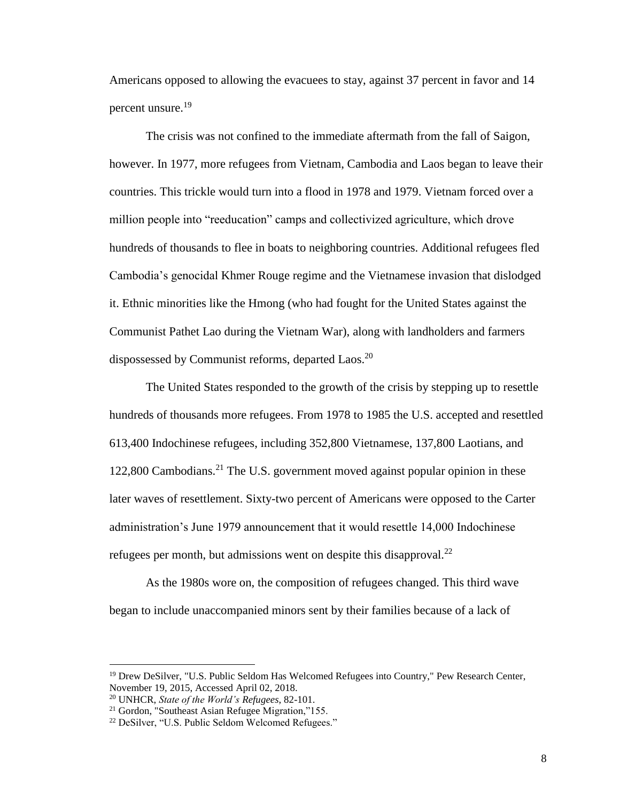Americans opposed to allowing the evacuees to stay, against 37 percent in favor and 14 percent unsure.<sup>19</sup>

The crisis was not confined to the immediate aftermath from the fall of Saigon, however. In 1977, more refugees from Vietnam, Cambodia and Laos began to leave their countries. This trickle would turn into a flood in 1978 and 1979. Vietnam forced over a million people into "reeducation" camps and collectivized agriculture, which drove hundreds of thousands to flee in boats to neighboring countries. Additional refugees fled Cambodia's genocidal Khmer Rouge regime and the Vietnamese invasion that dislodged it. Ethnic minorities like the Hmong (who had fought for the United States against the Communist Pathet Lao during the Vietnam War), along with landholders and farmers dispossessed by Communist reforms, departed Laos.<sup>20</sup>

The United States responded to the growth of the crisis by stepping up to resettle hundreds of thousands more refugees. From 1978 to 1985 the U.S. accepted and resettled 613,400 Indochinese refugees, including 352,800 Vietnamese, 137,800 Laotians, and 122,800 Cambodians.<sup>21</sup> The U.S. government moved against popular opinion in these later waves of resettlement. Sixty-two percent of Americans were opposed to the Carter administration's June 1979 announcement that it would resettle 14,000 Indochinese refugees per month, but admissions went on despite this disapproval.<sup>22</sup>

As the 1980s wore on, the composition of refugees changed. This third wave began to include unaccompanied minors sent by their families because of a lack of

l

<sup>&</sup>lt;sup>19</sup> Drew DeSilver, "U.S. Public Seldom Has Welcomed Refugees into Country," Pew Research Center, November 19, 2015, Accessed April 02, 2018.

<sup>20</sup> UNHCR, *State of the World's Refugees*, 82-101.

<sup>21</sup> Gordon, "Southeast Asian Refugee Migration,"155.

<sup>22</sup> DeSilver, "U.S. Public Seldom Welcomed Refugees."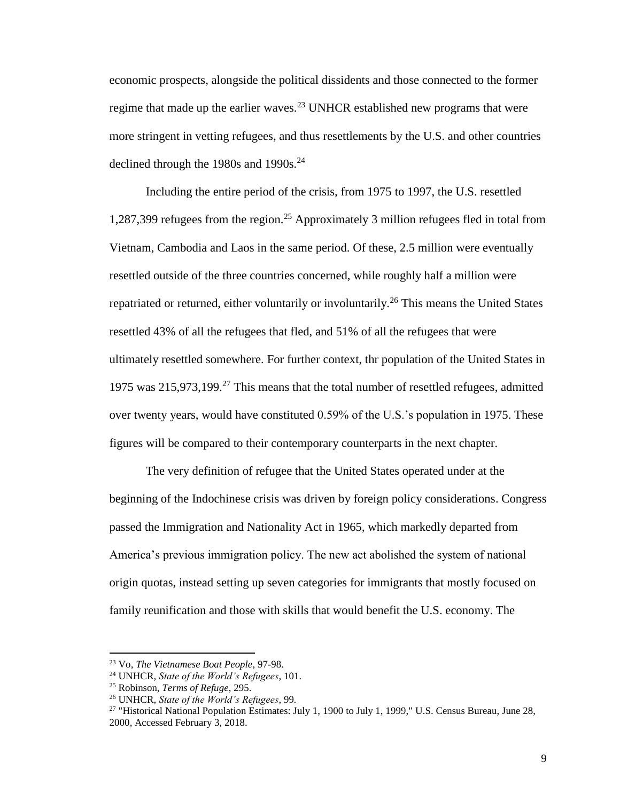economic prospects, alongside the political dissidents and those connected to the former regime that made up the earlier waves.<sup>23</sup> UNHCR established new programs that were more stringent in vetting refugees, and thus resettlements by the U.S. and other countries declined through the 1980s and 1990s. $^{24}$ 

Including the entire period of the crisis, from 1975 to 1997, the U.S. resettled 1,287,399 refugees from the region.<sup>25</sup> Approximately 3 million refugees fled in total from Vietnam, Cambodia and Laos in the same period. Of these, 2.5 million were eventually resettled outside of the three countries concerned, while roughly half a million were repatriated or returned, either voluntarily or involuntarily.<sup>26</sup> This means the United States resettled 43% of all the refugees that fled, and 51% of all the refugees that were ultimately resettled somewhere. For further context, thr population of the United States in 1975 was  $215,973,199$ <sup>27</sup> This means that the total number of resettled refugees, admitted over twenty years, would have constituted 0.59% of the U.S.'s population in 1975. These figures will be compared to their contemporary counterparts in the next chapter.

The very definition of refugee that the United States operated under at the beginning of the Indochinese crisis was driven by foreign policy considerations. Congress passed the Immigration and Nationality Act in 1965, which markedly departed from America's previous immigration policy. The new act abolished the system of national origin quotas, instead setting up seven categories for immigrants that mostly focused on family reunification and those with skills that would benefit the U.S. economy. The

<sup>23</sup> Vo, *The Vietnamese Boat People*, 97-98.

<sup>24</sup> UNHCR, *State of the World's Refugees*, 101.

<sup>25</sup> Robinson, *Terms of Refuge*, 295.

<sup>26</sup> UNHCR, *State of the World's Refugees*, 99*.*

<sup>&</sup>lt;sup>27</sup> "Historical National Population Estimates: July 1, 1900 to July 1, 1999," U.S. Census Bureau, June 28, 2000, Accessed February 3, 2018.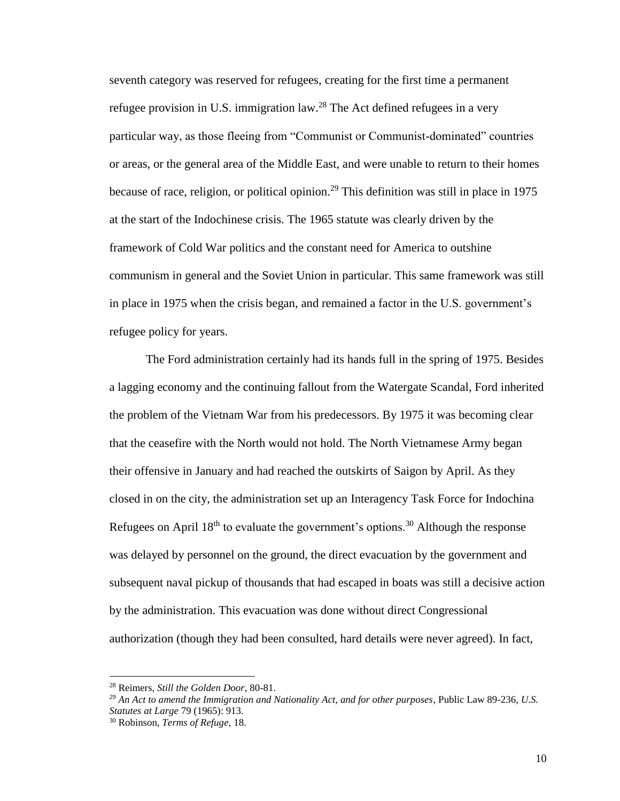seventh category was reserved for refugees, creating for the first time a permanent refugee provision in U.S. immigration law.<sup>28</sup> The Act defined refugees in a very particular way, as those fleeing from "Communist or Communist-dominated" countries or areas, or the general area of the Middle East, and were unable to return to their homes because of race, religion, or political opinion.<sup>29</sup> This definition was still in place in 1975 at the start of the Indochinese crisis. The 1965 statute was clearly driven by the framework of Cold War politics and the constant need for America to outshine communism in general and the Soviet Union in particular. This same framework was still in place in 1975 when the crisis began, and remained a factor in the U.S. government's refugee policy for years.

The Ford administration certainly had its hands full in the spring of 1975. Besides a lagging economy and the continuing fallout from the Watergate Scandal, Ford inherited the problem of the Vietnam War from his predecessors. By 1975 it was becoming clear that the ceasefire with the North would not hold. The North Vietnamese Army began their offensive in January and had reached the outskirts of Saigon by April. As they closed in on the city, the administration set up an Interagency Task Force for Indochina Refugees on April  $18<sup>th</sup>$  to evaluate the government's options.<sup>30</sup> Although the response was delayed by personnel on the ground, the direct evacuation by the government and subsequent naval pickup of thousands that had escaped in boats was still a decisive action by the administration. This evacuation was done without direct Congressional authorization (though they had been consulted, hard details were never agreed). In fact,

<sup>28</sup> Reimers, *Still the Golden Door*, 80-81.

<sup>29</sup> *An Act to amend the Immigration and Nationality Act, and for other purposes*, Public Law 89-236, *U.S. Statutes at Large* 79 (1965): 913.

<sup>30</sup> Robinson, *Terms of Refuge*, 18.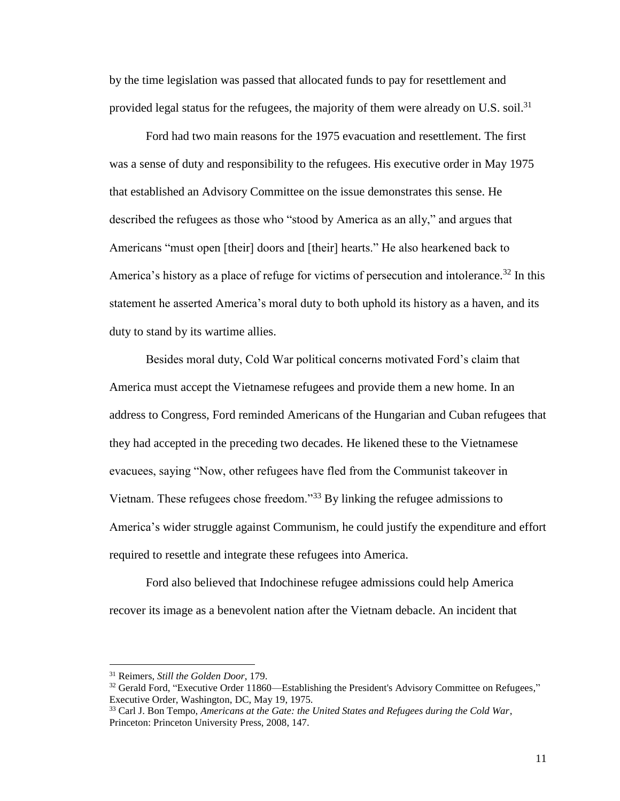by the time legislation was passed that allocated funds to pay for resettlement and provided legal status for the refugees, the majority of them were already on U.S. soil.<sup>31</sup>

Ford had two main reasons for the 1975 evacuation and resettlement. The first was a sense of duty and responsibility to the refugees. His executive order in May 1975 that established an Advisory Committee on the issue demonstrates this sense. He described the refugees as those who "stood by America as an ally," and argues that Americans "must open [their] doors and [their] hearts." He also hearkened back to America's history as a place of refuge for victims of persecution and intolerance.<sup>32</sup> In this statement he asserted America's moral duty to both uphold its history as a haven, and its duty to stand by its wartime allies.

Besides moral duty, Cold War political concerns motivated Ford's claim that America must accept the Vietnamese refugees and provide them a new home. In an address to Congress, Ford reminded Americans of the Hungarian and Cuban refugees that they had accepted in the preceding two decades. He likened these to the Vietnamese evacuees, saying "Now, other refugees have fled from the Communist takeover in Vietnam. These refugees chose freedom."<sup>33</sup> By linking the refugee admissions to America's wider struggle against Communism, he could justify the expenditure and effort required to resettle and integrate these refugees into America.

Ford also believed that Indochinese refugee admissions could help America recover its image as a benevolent nation after the Vietnam debacle. An incident that

l

<sup>31</sup> Reimers, *Still the Golden Door*, 179.

 $32$  Gerald Ford, "Executive Order 11860—Establishing the President's Advisory Committee on Refugees," Executive Order, Washington, DC, May 19, 1975.

<sup>33</sup> Carl J. Bon Tempo, *Americans at the Gate: the United States and Refugees during the Cold War*, Princeton: Princeton University Press, 2008, 147.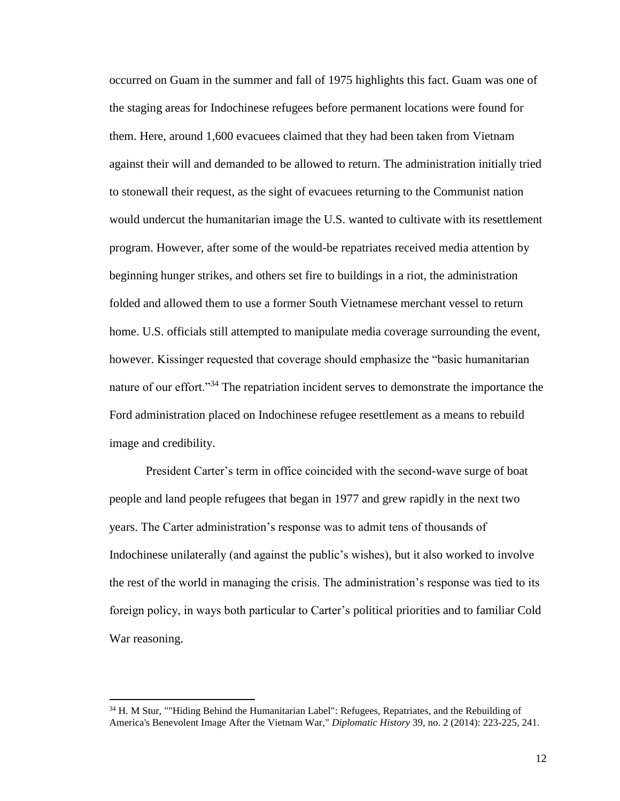occurred on Guam in the summer and fall of 1975 highlights this fact. Guam was one of the staging areas for Indochinese refugees before permanent locations were found for them. Here, around 1,600 evacuees claimed that they had been taken from Vietnam against their will and demanded to be allowed to return. The administration initially tried to stonewall their request, as the sight of evacuees returning to the Communist nation would undercut the humanitarian image the U.S. wanted to cultivate with its resettlement program. However, after some of the would-be repatriates received media attention by beginning hunger strikes, and others set fire to buildings in a riot, the administration folded and allowed them to use a former South Vietnamese merchant vessel to return home. U.S. officials still attempted to manipulate media coverage surrounding the event, however. Kissinger requested that coverage should emphasize the "basic humanitarian nature of our effort."<sup>34</sup> The repatriation incident serves to demonstrate the importance the Ford administration placed on Indochinese refugee resettlement as a means to rebuild image and credibility.

President Carter's term in office coincided with the second-wave surge of boat people and land people refugees that began in 1977 and grew rapidly in the next two years. The Carter administration's response was to admit tens of thousands of Indochinese unilaterally (and against the public's wishes), but it also worked to involve the rest of the world in managing the crisis. The administration's response was tied to its foreign policy, in ways both particular to Carter's political priorities and to familiar Cold War reasoning.

<sup>&</sup>lt;sup>34</sup> H. M Stur, ""Hiding Behind the Humanitarian Label": Refugees, Repatriates, and the Rebuilding of America's Benevolent Image After the Vietnam War," *Diplomatic History* 39, no. 2 (2014): 223-225, 241.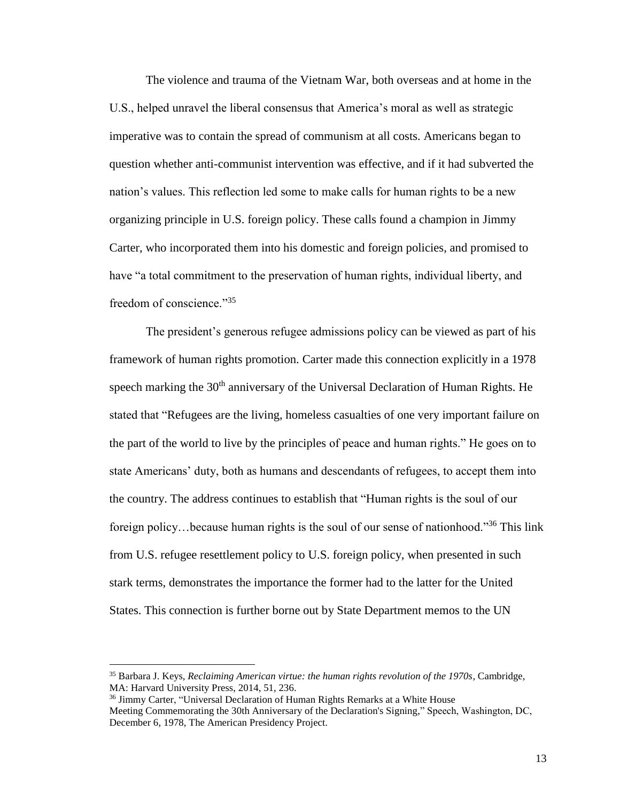The violence and trauma of the Vietnam War, both overseas and at home in the U.S., helped unravel the liberal consensus that America's moral as well as strategic imperative was to contain the spread of communism at all costs. Americans began to question whether anti-communist intervention was effective, and if it had subverted the nation's values. This reflection led some to make calls for human rights to be a new organizing principle in U.S. foreign policy. These calls found a champion in Jimmy Carter, who incorporated them into his domestic and foreign policies, and promised to have "a total commitment to the preservation of human rights, individual liberty, and freedom of conscience."<sup>35</sup>

The president's generous refugee admissions policy can be viewed as part of his framework of human rights promotion. Carter made this connection explicitly in a 1978 speech marking the  $30<sup>th</sup>$  anniversary of the Universal Declaration of Human Rights. He stated that "Refugees are the living, homeless casualties of one very important failure on the part of the world to live by the principles of peace and human rights." He goes on to state Americans' duty, both as humans and descendants of refugees, to accept them into the country. The address continues to establish that "Human rights is the soul of our foreign policy...because human rights is the soul of our sense of nationhood."<sup>36</sup> This link from U.S. refugee resettlement policy to U.S. foreign policy, when presented in such stark terms, demonstrates the importance the former had to the latter for the United States. This connection is further borne out by State Department memos to the UN

l

<sup>35</sup> Barbara J. Keys, *Reclaiming American virtue: the human rights revolution of the 1970s*, Cambridge, MA: Harvard University Press, 2014, 51, 236.

<sup>&</sup>lt;sup>36</sup> Jimmy Carter, "Universal Declaration of Human Rights Remarks at a White House Meeting Commemorating the 30th Anniversary of the Declaration's Signing," Speech, Washington, DC, December 6, 1978, The American Presidency Project.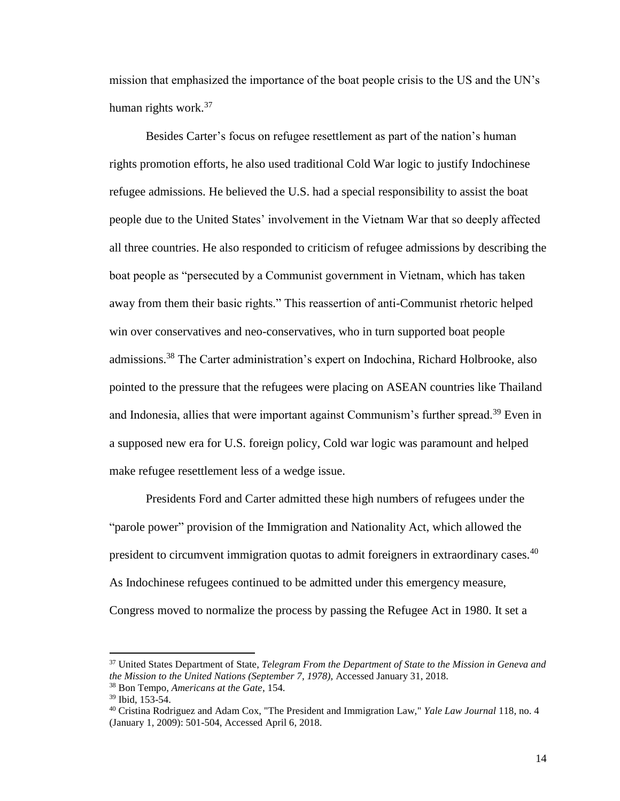mission that emphasized the importance of the boat people crisis to the US and the UN's human rights work.<sup>37</sup>

Besides Carter's focus on refugee resettlement as part of the nation's human rights promotion efforts, he also used traditional Cold War logic to justify Indochinese refugee admissions. He believed the U.S. had a special responsibility to assist the boat people due to the United States' involvement in the Vietnam War that so deeply affected all three countries. He also responded to criticism of refugee admissions by describing the boat people as "persecuted by a Communist government in Vietnam, which has taken away from them their basic rights." This reassertion of anti-Communist rhetoric helped win over conservatives and neo-conservatives, who in turn supported boat people admissions.<sup>38</sup> The Carter administration's expert on Indochina, Richard Holbrooke, also pointed to the pressure that the refugees were placing on ASEAN countries like Thailand and Indonesia, allies that were important against Communism's further spread.<sup>39</sup> Even in a supposed new era for U.S. foreign policy, Cold war logic was paramount and helped make refugee resettlement less of a wedge issue.

Presidents Ford and Carter admitted these high numbers of refugees under the "parole power" provision of the Immigration and Nationality Act, which allowed the president to circumvent immigration quotas to admit foreigners in extraordinary cases.<sup>40</sup> As Indochinese refugees continued to be admitted under this emergency measure, Congress moved to normalize the process by passing the Refugee Act in 1980. It set a

<sup>37</sup> United States Department of State, *Telegram From the Department of State to the Mission in Geneva and the Mission to the United Nations (September 7, 1978),* Accessed January 31, 2018.

<sup>38</sup> Bon Tempo, *Americans at the Gate*, 154.

<sup>39</sup> Ibid, 153-54.

<sup>40</sup> Cristina Rodriguez and Adam Cox, "The President and Immigration Law," *Yale Law Journal* 118, no. 4 (January 1, 2009): 501-504, Accessed April 6, 2018.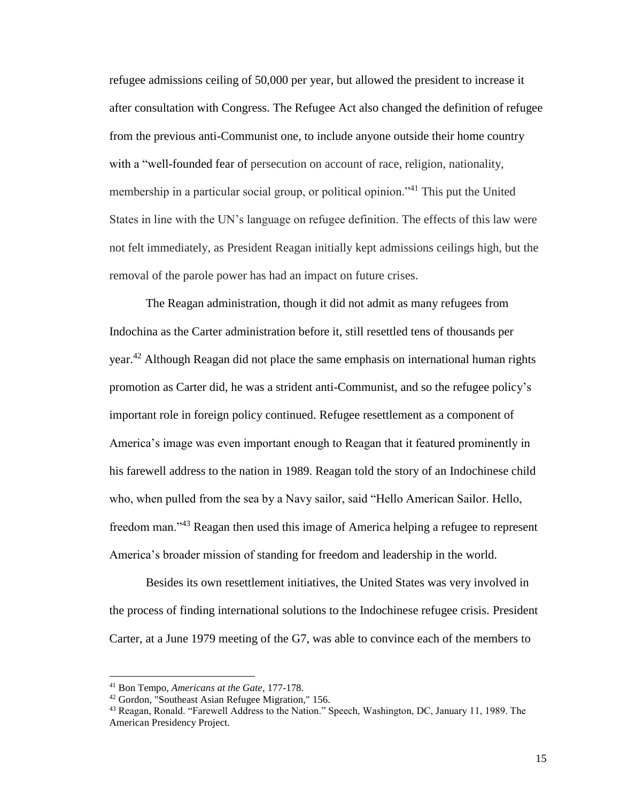refugee admissions ceiling of 50,000 per year, but allowed the president to increase it after consultation with Congress. The Refugee Act also changed the definition of refugee from the previous anti-Communist one, to include anyone outside their home country with a "well-founded fear of persecution on account of race, religion, nationality, membership in a particular social group, or political opinion."<sup>41</sup> This put the United States in line with the UN's language on refugee definition. The effects of this law were not felt immediately, as President Reagan initially kept admissions ceilings high, but the removal of the parole power has had an impact on future crises.

The Reagan administration, though it did not admit as many refugees from Indochina as the Carter administration before it, still resettled tens of thousands per year.<sup>42</sup> Although Reagan did not place the same emphasis on international human rights promotion as Carter did, he was a strident anti-Communist, and so the refugee policy's important role in foreign policy continued. Refugee resettlement as a component of America's image was even important enough to Reagan that it featured prominently in his farewell address to the nation in 1989. Reagan told the story of an Indochinese child who, when pulled from the sea by a Navy sailor, said "Hello American Sailor. Hello, freedom man."<sup>43</sup> Reagan then used this image of America helping a refugee to represent America's broader mission of standing for freedom and leadership in the world.

Besides its own resettlement initiatives, the United States was very involved in the process of finding international solutions to the Indochinese refugee crisis. President Carter, at a June 1979 meeting of the G7, was able to convince each of the members to

<sup>41</sup> Bon Tempo, *Americans at the Gate*, 177-178.

<sup>42</sup> Gordon, "Southeast Asian Refugee Migration," 156.

<sup>43</sup> Reagan, Ronald. "Farewell Address to the Nation." Speech, Washington, DC, January 11, 1989. The American Presidency Project.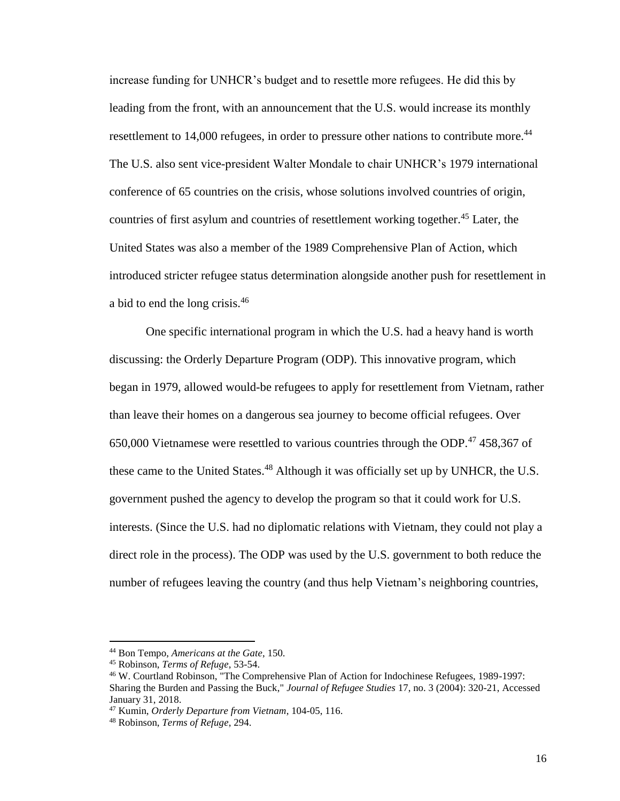increase funding for UNHCR's budget and to resettle more refugees. He did this by leading from the front, with an announcement that the U.S. would increase its monthly resettlement to 14,000 refugees, in order to pressure other nations to contribute more.<sup>44</sup> The U.S. also sent vice-president Walter Mondale to chair UNHCR's 1979 international conference of 65 countries on the crisis, whose solutions involved countries of origin, countries of first asylum and countries of resettlement working together.<sup>45</sup> Later, the United States was also a member of the 1989 Comprehensive Plan of Action, which introduced stricter refugee status determination alongside another push for resettlement in a bid to end the long crisis.<sup>46</sup>

One specific international program in which the U.S. had a heavy hand is worth discussing: the Orderly Departure Program (ODP). This innovative program, which began in 1979, allowed would-be refugees to apply for resettlement from Vietnam, rather than leave their homes on a dangerous sea journey to become official refugees. Over 650,000 Vietnamese were resettled to various countries through the ODP.<sup>47</sup> 458,367 of these came to the United States.<sup>48</sup> Although it was officially set up by UNHCR, the U.S. government pushed the agency to develop the program so that it could work for U.S. interests. (Since the U.S. had no diplomatic relations with Vietnam, they could not play a direct role in the process). The ODP was used by the U.S. government to both reduce the number of refugees leaving the country (and thus help Vietnam's neighboring countries,

<sup>44</sup> Bon Tempo, *Americans at the Gate*, 150.

<sup>45</sup> Robinson, *Terms of Refuge*, 53-54.

<sup>46</sup> W. Courtland Robinson, "The Comprehensive Plan of Action for Indochinese Refugees, 1989-1997: Sharing the Burden and Passing the Buck," *Journal of Refugee Studies* 17, no. 3 (2004): 320-21, Accessed January 31, 2018.

<sup>47</sup> Kumin, *Orderly Departure from Vietnam*, 104-05, 116.

<sup>48</sup> Robinson, *Terms of Refuge*, 294.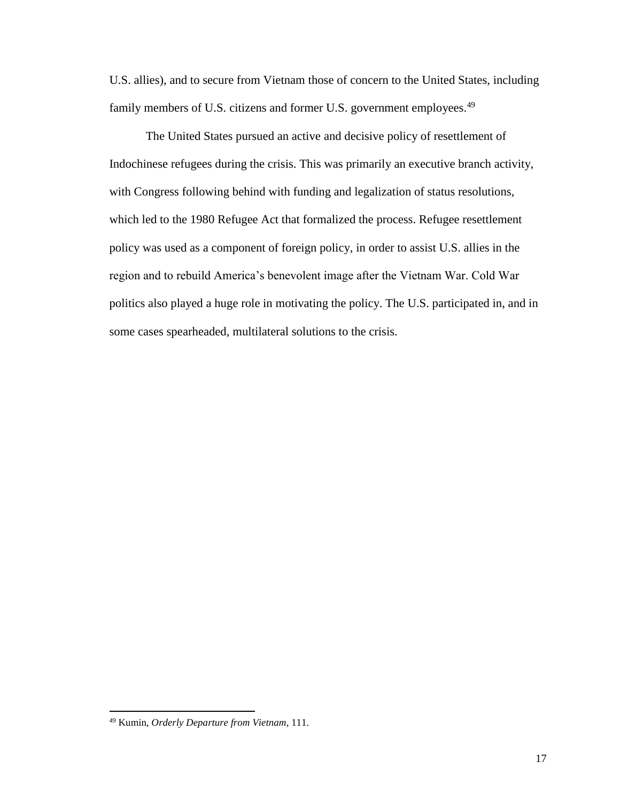U.S. allies), and to secure from Vietnam those of concern to the United States, including family members of U.S. citizens and former U.S. government employees.<sup>49</sup>

The United States pursued an active and decisive policy of resettlement of Indochinese refugees during the crisis. This was primarily an executive branch activity, with Congress following behind with funding and legalization of status resolutions, which led to the 1980 Refugee Act that formalized the process. Refugee resettlement policy was used as a component of foreign policy, in order to assist U.S. allies in the region and to rebuild America's benevolent image after the Vietnam War. Cold War politics also played a huge role in motivating the policy. The U.S. participated in, and in some cases spearheaded, multilateral solutions to the crisis.

<sup>49</sup> Kumin, *Orderly Departure from Vietnam*, 111.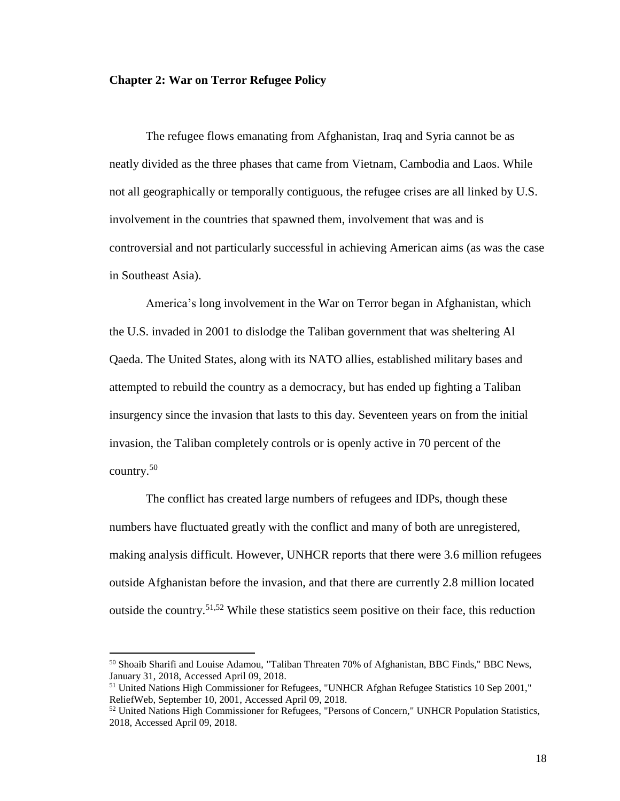#### <span id="page-21-0"></span>**Chapter 2: War on Terror Refugee Policy**

The refugee flows emanating from Afghanistan, Iraq and Syria cannot be as neatly divided as the three phases that came from Vietnam, Cambodia and Laos. While not all geographically or temporally contiguous, the refugee crises are all linked by U.S. involvement in the countries that spawned them, involvement that was and is controversial and not particularly successful in achieving American aims (as was the case in Southeast Asia).

America's long involvement in the War on Terror began in Afghanistan, which the U.S. invaded in 2001 to dislodge the Taliban government that was sheltering Al Qaeda. The United States, along with its NATO allies, established military bases and attempted to rebuild the country as a democracy, but has ended up fighting a Taliban insurgency since the invasion that lasts to this day. Seventeen years on from the initial invasion, the Taliban completely controls or is openly active in 70 percent of the country.<sup>50</sup>

The conflict has created large numbers of refugees and IDPs, though these numbers have fluctuated greatly with the conflict and many of both are unregistered, making analysis difficult. However, UNHCR reports that there were 3.6 million refugees outside Afghanistan before the invasion, and that there are currently 2.8 million located outside the country.<sup>51,52</sup> While these statistics seem positive on their face, this reduction

<sup>50</sup> Shoaib Sharifi and Louise Adamou, "Taliban Threaten 70% of Afghanistan, BBC Finds," BBC News, January 31, 2018, Accessed April 09, 2018.

<sup>&</sup>lt;sup>51</sup> United Nations High Commissioner for Refugees, "UNHCR Afghan Refugee Statistics 10 Sep 2001," ReliefWeb, September 10, 2001, Accessed April 09, 2018.

<sup>&</sup>lt;sup>52</sup> United Nations High Commissioner for Refugees, "Persons of Concern," UNHCR Population Statistics, 2018, Accessed April 09, 2018.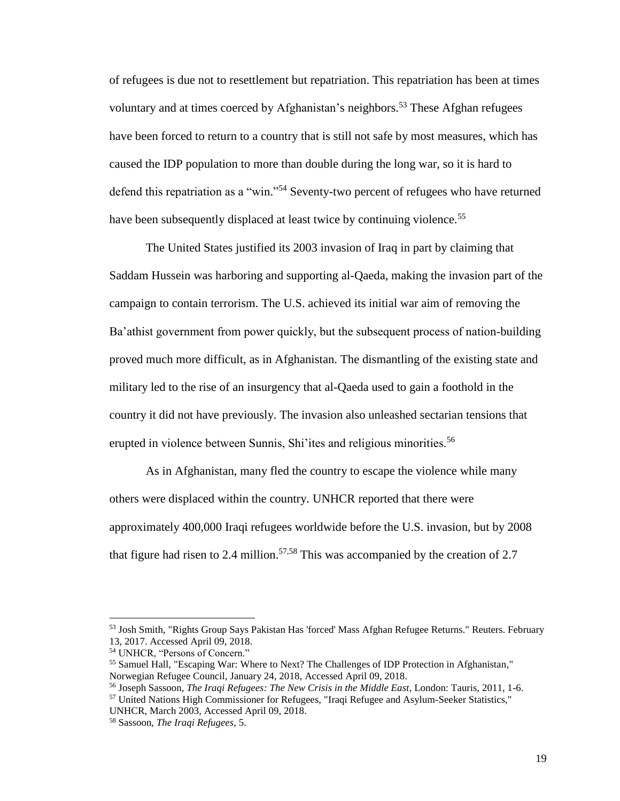of refugees is due not to resettlement but repatriation. This repatriation has been at times voluntary and at times coerced by Afghanistan's neighbors. <sup>53</sup> These Afghan refugees have been forced to return to a country that is still not safe by most measures, which has caused the IDP population to more than double during the long war, so it is hard to defend this repatriation as a "win."<sup>54</sup> Seventy-two percent of refugees who have returned have been subsequently displaced at least twice by continuing violence.<sup>55</sup>

The United States justified its 2003 invasion of Iraq in part by claiming that Saddam Hussein was harboring and supporting al-Qaeda, making the invasion part of the campaign to contain terrorism. The U.S. achieved its initial war aim of removing the Ba'athist government from power quickly, but the subsequent process of nation-building proved much more difficult, as in Afghanistan. The dismantling of the existing state and military led to the rise of an insurgency that al-Qaeda used to gain a foothold in the country it did not have previously. The invasion also unleashed sectarian tensions that erupted in violence between Sunnis, Shi'ites and religious minorities.<sup>56</sup>

As in Afghanistan, many fled the country to escape the violence while many others were displaced within the country. UNHCR reported that there were approximately 400,000 Iraqi refugees worldwide before the U.S. invasion, but by 2008 that figure had risen to 2.4 million.<sup>57,58</sup> This was accompanied by the creation of 2.7

<sup>53</sup> Josh Smith, "Rights Group Says Pakistan Has 'forced' Mass Afghan Refugee Returns." Reuters. February 13, 2017. Accessed April 09, 2018.

<sup>54</sup> UNHCR, "Persons of Concern."

<sup>55</sup> Samuel Hall, "Escaping War: Where to Next? The Challenges of IDP Protection in Afghanistan," Norwegian Refugee Council, January 24, 2018, Accessed April 09, 2018.

<sup>56</sup> Joseph Sassoon, *The Iraqi Refugees: The New Crisis in the Middle East*, London: Tauris, 2011, 1-6.

<sup>57</sup> United Nations High Commissioner for Refugees, "Iraqi Refugee and Asylum-Seeker Statistics," UNHCR, March 2003, Accessed April 09, 2018.

<sup>58</sup> Sassoon, *The Iraqi Refugees*, 5.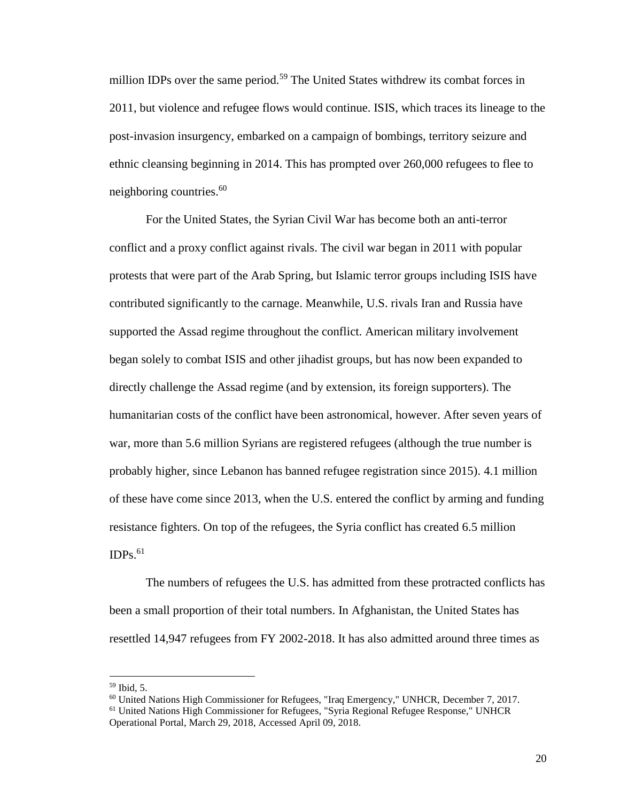million IDPs over the same period.<sup>59</sup> The United States withdrew its combat forces in 2011, but violence and refugee flows would continue. ISIS, which traces its lineage to the post-invasion insurgency, embarked on a campaign of bombings, territory seizure and ethnic cleansing beginning in 2014. This has prompted over 260,000 refugees to flee to neighboring countries. 60

For the United States, the Syrian Civil War has become both an anti-terror conflict and a proxy conflict against rivals. The civil war began in 2011 with popular protests that were part of the Arab Spring, but Islamic terror groups including ISIS have contributed significantly to the carnage. Meanwhile, U.S. rivals Iran and Russia have supported the Assad regime throughout the conflict. American military involvement began solely to combat ISIS and other jihadist groups, but has now been expanded to directly challenge the Assad regime (and by extension, its foreign supporters). The humanitarian costs of the conflict have been astronomical, however. After seven years of war, more than 5.6 million Syrians are registered refugees (although the true number is probably higher, since Lebanon has banned refugee registration since 2015). 4.1 million of these have come since 2013, when the U.S. entered the conflict by arming and funding resistance fighters. On top of the refugees, the Syria conflict has created 6.5 million  $IDPs.<sup>61</sup>$ 

The numbers of refugees the U.S. has admitted from these protracted conflicts has been a small proportion of their total numbers. In Afghanistan, the United States has resettled 14,947 refugees from FY 2002-2018. It has also admitted around three times as

 $59$  Ibid, 5.

<sup>60</sup> United Nations High Commissioner for Refugees, "Iraq Emergency," UNHCR, December 7, 2017.

<sup>61</sup> United Nations High Commissioner for Refugees, "Syria Regional Refugee Response," UNHCR Operational Portal, March 29, 2018, Accessed April 09, 2018.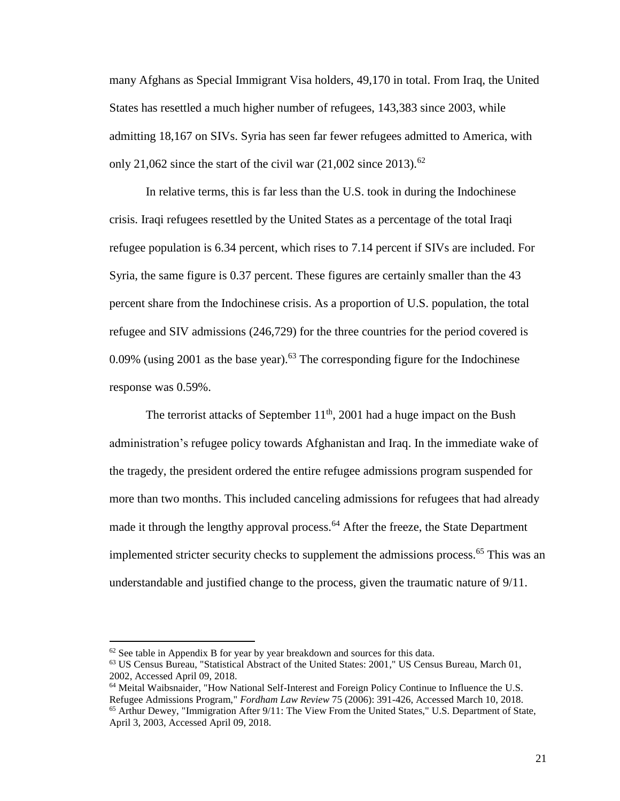many Afghans as Special Immigrant Visa holders, 49,170 in total. From Iraq, the United States has resettled a much higher number of refugees, 143,383 since 2003, while admitting 18,167 on SIVs. Syria has seen far fewer refugees admitted to America, with only 21,062 since the start of the civil war  $(21,002 \text{ since } 2013).$ <sup>62</sup>

In relative terms, this is far less than the U.S. took in during the Indochinese crisis. Iraqi refugees resettled by the United States as a percentage of the total Iraqi refugee population is 6.34 percent, which rises to 7.14 percent if SIVs are included. For Syria, the same figure is 0.37 percent. These figures are certainly smaller than the 43 percent share from the Indochinese crisis. As a proportion of U.S. population, the total refugee and SIV admissions (246,729) for the three countries for the period covered is 0.09% (using 2001 as the base year).<sup>63</sup> The corresponding figure for the Indochinese response was 0.59%.

The terrorist attacks of September  $11<sup>th</sup>$ , 2001 had a huge impact on the Bush administration's refugee policy towards Afghanistan and Iraq. In the immediate wake of the tragedy, the president ordered the entire refugee admissions program suspended for more than two months. This included canceling admissions for refugees that had already made it through the lengthy approval process.<sup>64</sup> After the freeze, the State Department implemented stricter security checks to supplement the admissions process.<sup>65</sup> This was an understandable and justified change to the process, given the traumatic nature of 9/11.

 $62$  See table in Appendix B for year by year breakdown and sources for this data.

<sup>63</sup> US Census Bureau, "Statistical Abstract of the United States: 2001," US Census Bureau, March 01, 2002, Accessed April 09, 2018.

<sup>64</sup> Meital Waibsnaider, "How National Self-Interest and Foreign Policy Continue to Influence the U.S. Refugee Admissions Program," *Fordham Law Review* 75 (2006): 391-426, Accessed March 10, 2018. <sup>65</sup> Arthur Dewey, "Immigration After 9/11: The View From the United States," U.S. Department of State, April 3, 2003, Accessed April 09, 2018.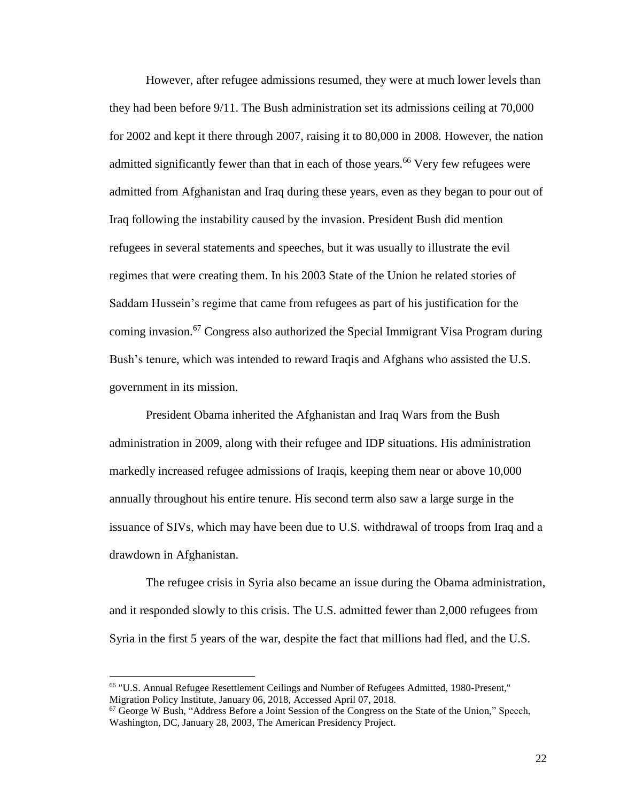However, after refugee admissions resumed, they were at much lower levels than they had been before 9/11. The Bush administration set its admissions ceiling at 70,000 for 2002 and kept it there through 2007, raising it to 80,000 in 2008. However, the nation admitted significantly fewer than that in each of those years.<sup>66</sup> Very few refugees were admitted from Afghanistan and Iraq during these years, even as they began to pour out of Iraq following the instability caused by the invasion. President Bush did mention refugees in several statements and speeches, but it was usually to illustrate the evil regimes that were creating them. In his 2003 State of the Union he related stories of Saddam Hussein's regime that came from refugees as part of his justification for the coming invasion.<sup>67</sup> Congress also authorized the Special Immigrant Visa Program during Bush's tenure, which was intended to reward Iraqis and Afghans who assisted the U.S. government in its mission.

President Obama inherited the Afghanistan and Iraq Wars from the Bush administration in 2009, along with their refugee and IDP situations. His administration markedly increased refugee admissions of Iraqis, keeping them near or above 10,000 annually throughout his entire tenure. His second term also saw a large surge in the issuance of SIVs, which may have been due to U.S. withdrawal of troops from Iraq and a drawdown in Afghanistan.

The refugee crisis in Syria also became an issue during the Obama administration, and it responded slowly to this crisis. The U.S. admitted fewer than 2,000 refugees from Syria in the first 5 years of the war, despite the fact that millions had fled, and the U.S.

<sup>66</sup> "U.S. Annual Refugee Resettlement Ceilings and Number of Refugees Admitted, 1980-Present," Migration Policy Institute, January 06, 2018, Accessed April 07, 2018.

<sup>67</sup> George W Bush, "Address Before a Joint Session of the Congress on the State of the Union," Speech, Washington, DC, January 28, 2003, The American Presidency Project.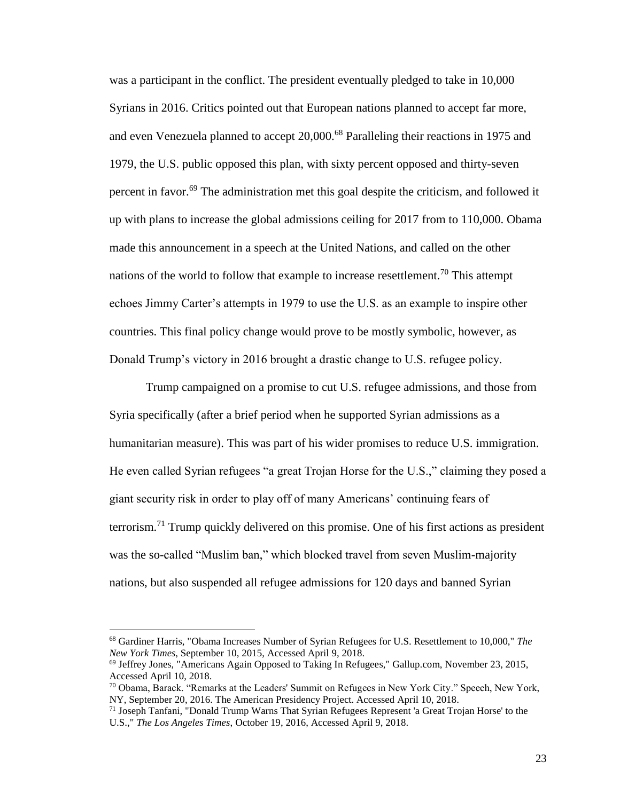was a participant in the conflict. The president eventually pledged to take in 10,000 Syrians in 2016. Critics pointed out that European nations planned to accept far more, and even Venezuela planned to accept 20,000.<sup>68</sup> Paralleling their reactions in 1975 and 1979, the U.S. public opposed this plan, with sixty percent opposed and thirty-seven percent in favor.<sup>69</sup> The administration met this goal despite the criticism, and followed it up with plans to increase the global admissions ceiling for 2017 from to 110,000. Obama made this announcement in a speech at the United Nations, and called on the other nations of the world to follow that example to increase resettlement.<sup>70</sup> This attempt echoes Jimmy Carter's attempts in 1979 to use the U.S. as an example to inspire other countries. This final policy change would prove to be mostly symbolic, however, as Donald Trump's victory in 2016 brought a drastic change to U.S. refugee policy.

Trump campaigned on a promise to cut U.S. refugee admissions, and those from Syria specifically (after a brief period when he supported Syrian admissions as a humanitarian measure). This was part of his wider promises to reduce U.S. immigration. He even called Syrian refugees "a great Trojan Horse for the U.S.," claiming they posed a giant security risk in order to play off of many Americans' continuing fears of terrorism.<sup>71</sup> Trump quickly delivered on this promise. One of his first actions as president was the so-called "Muslim ban," which blocked travel from seven Muslim-majority nations, but also suspended all refugee admissions for 120 days and banned Syrian

<sup>68</sup> Gardiner Harris, "Obama Increases Number of Syrian Refugees for U.S. Resettlement to 10,000," *The New York Times*, September 10, 2015, Accessed April 9, 2018.

<sup>69</sup> Jeffrey Jones, "Americans Again Opposed to Taking In Refugees," Gallup.com, November 23, 2015, Accessed April 10, 2018.

 $70$  Obama, Barack. "Remarks at the Leaders' Summit on Refugees in New York City." Speech, New York, NY, September 20, 2016. The American Presidency Project. Accessed April 10, 2018.

 $71$  Joseph Tanfani, "Donald Trump Warns That Syrian Refugees Represent 'a Great Trojan Horse' to the U.S.," *The Los Angeles Times*, October 19, 2016, Accessed April 9, 2018.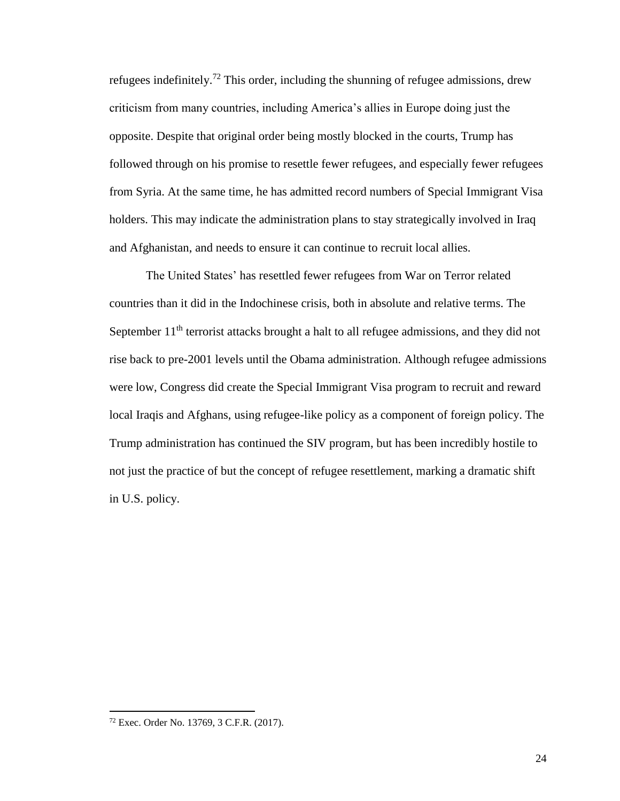refugees indefinitely.<sup>72</sup> This order, including the shunning of refugee admissions, drew criticism from many countries, including America's allies in Europe doing just the opposite. Despite that original order being mostly blocked in the courts, Trump has followed through on his promise to resettle fewer refugees, and especially fewer refugees from Syria. At the same time, he has admitted record numbers of Special Immigrant Visa holders. This may indicate the administration plans to stay strategically involved in Iraq and Afghanistan, and needs to ensure it can continue to recruit local allies.

The United States' has resettled fewer refugees from War on Terror related countries than it did in the Indochinese crisis, both in absolute and relative terms. The September 11<sup>th</sup> terrorist attacks brought a halt to all refugee admissions, and they did not rise back to pre-2001 levels until the Obama administration. Although refugee admissions were low, Congress did create the Special Immigrant Visa program to recruit and reward local Iraqis and Afghans, using refugee-like policy as a component of foreign policy. The Trump administration has continued the SIV program, but has been incredibly hostile to not just the practice of but the concept of refugee resettlement, marking a dramatic shift in U.S. policy.

<sup>72</sup> Exec. Order No. 13769, 3 C.F.R. (2017).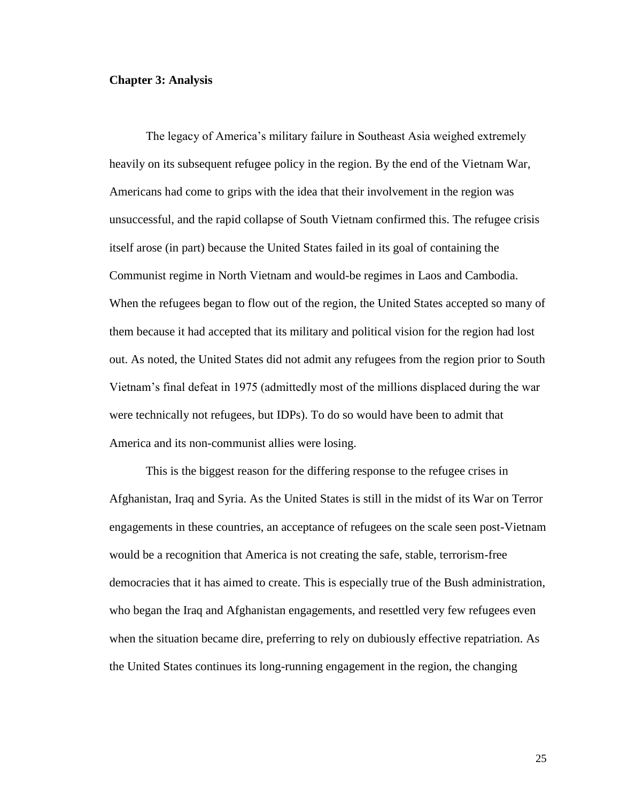#### <span id="page-28-0"></span>**Chapter 3: Analysis**

The legacy of America's military failure in Southeast Asia weighed extremely heavily on its subsequent refugee policy in the region. By the end of the Vietnam War, Americans had come to grips with the idea that their involvement in the region was unsuccessful, and the rapid collapse of South Vietnam confirmed this. The refugee crisis itself arose (in part) because the United States failed in its goal of containing the Communist regime in North Vietnam and would-be regimes in Laos and Cambodia. When the refugees began to flow out of the region, the United States accepted so many of them because it had accepted that its military and political vision for the region had lost out. As noted, the United States did not admit any refugees from the region prior to South Vietnam's final defeat in 1975 (admittedly most of the millions displaced during the war were technically not refugees, but IDPs). To do so would have been to admit that America and its non-communist allies were losing.

This is the biggest reason for the differing response to the refugee crises in Afghanistan, Iraq and Syria. As the United States is still in the midst of its War on Terror engagements in these countries, an acceptance of refugees on the scale seen post-Vietnam would be a recognition that America is not creating the safe, stable, terrorism-free democracies that it has aimed to create. This is especially true of the Bush administration, who began the Iraq and Afghanistan engagements, and resettled very few refugees even when the situation became dire, preferring to rely on dubiously effective repatriation. As the United States continues its long-running engagement in the region, the changing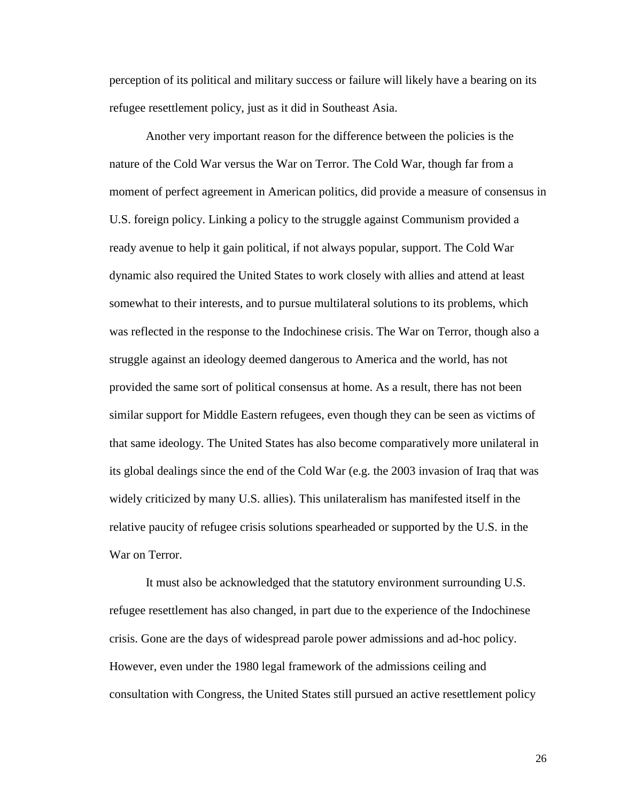perception of its political and military success or failure will likely have a bearing on its refugee resettlement policy, just as it did in Southeast Asia.

Another very important reason for the difference between the policies is the nature of the Cold War versus the War on Terror. The Cold War, though far from a moment of perfect agreement in American politics, did provide a measure of consensus in U.S. foreign policy. Linking a policy to the struggle against Communism provided a ready avenue to help it gain political, if not always popular, support. The Cold War dynamic also required the United States to work closely with allies and attend at least somewhat to their interests, and to pursue multilateral solutions to its problems, which was reflected in the response to the Indochinese crisis. The War on Terror, though also a struggle against an ideology deemed dangerous to America and the world, has not provided the same sort of political consensus at home. As a result, there has not been similar support for Middle Eastern refugees, even though they can be seen as victims of that same ideology. The United States has also become comparatively more unilateral in its global dealings since the end of the Cold War (e.g. the 2003 invasion of Iraq that was widely criticized by many U.S. allies). This unilateralism has manifested itself in the relative paucity of refugee crisis solutions spearheaded or supported by the U.S. in the War on Terror.

It must also be acknowledged that the statutory environment surrounding U.S. refugee resettlement has also changed, in part due to the experience of the Indochinese crisis. Gone are the days of widespread parole power admissions and ad-hoc policy. However, even under the 1980 legal framework of the admissions ceiling and consultation with Congress, the United States still pursued an active resettlement policy

26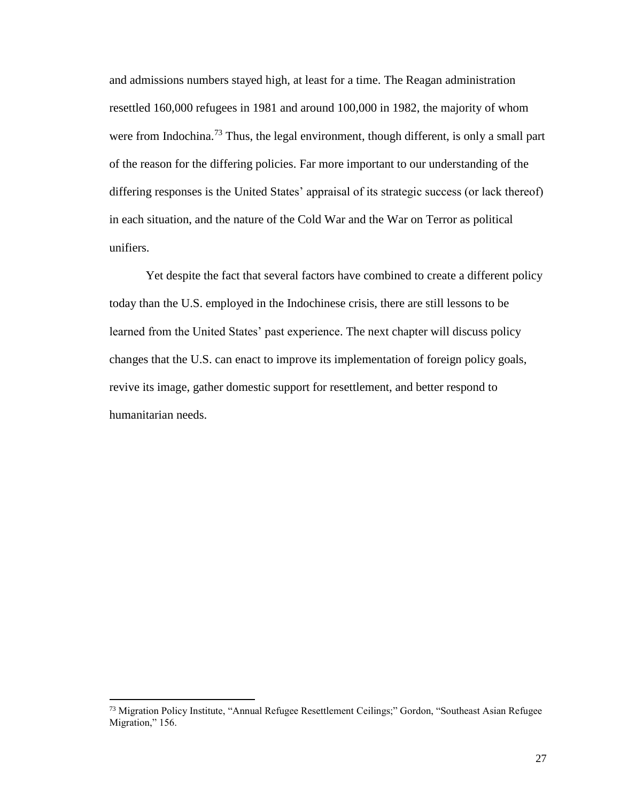and admissions numbers stayed high, at least for a time. The Reagan administration resettled 160,000 refugees in 1981 and around 100,000 in 1982, the majority of whom were from Indochina.<sup>73</sup> Thus, the legal environment, though different, is only a small part of the reason for the differing policies. Far more important to our understanding of the differing responses is the United States' appraisal of its strategic success (or lack thereof) in each situation, and the nature of the Cold War and the War on Terror as political unifiers.

Yet despite the fact that several factors have combined to create a different policy today than the U.S. employed in the Indochinese crisis, there are still lessons to be learned from the United States' past experience. The next chapter will discuss policy changes that the U.S. can enact to improve its implementation of foreign policy goals, revive its image, gather domestic support for resettlement, and better respond to humanitarian needs.

<sup>73</sup> Migration Policy Institute, "Annual Refugee Resettlement Ceilings;" Gordon, "Southeast Asian Refugee Migration," 156.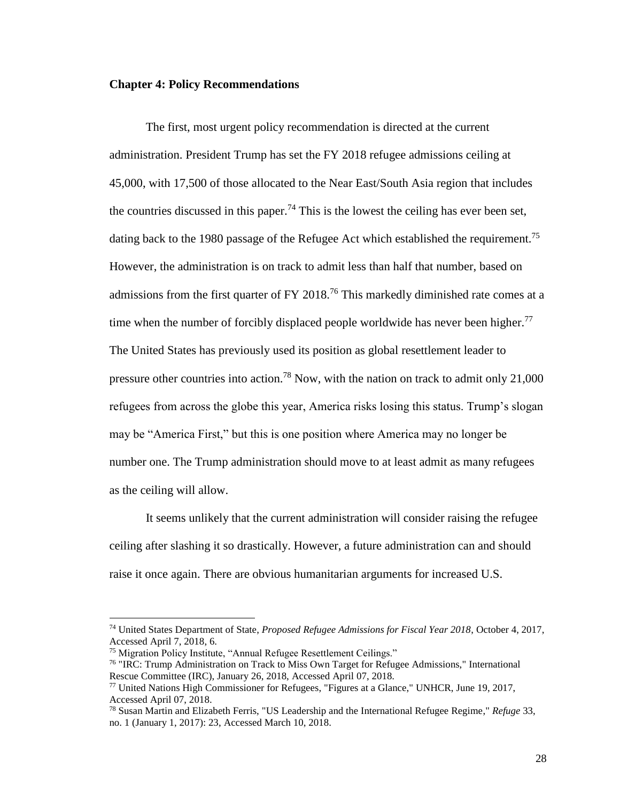#### <span id="page-31-0"></span>**Chapter 4: Policy Recommendations**

The first, most urgent policy recommendation is directed at the current administration. President Trump has set the FY 2018 refugee admissions ceiling at 45,000, with 17,500 of those allocated to the Near East/South Asia region that includes the countries discussed in this paper.<sup>74</sup> This is the lowest the ceiling has ever been set, dating back to the 1980 passage of the Refugee Act which established the requirement.<sup>75</sup> However, the administration is on track to admit less than half that number, based on admissions from the first quarter of FY 2018.<sup>76</sup> This markedly diminished rate comes at a time when the number of forcibly displaced people worldwide has never been higher.<sup>77</sup> The United States has previously used its position as global resettlement leader to pressure other countries into action.<sup>78</sup> Now, with the nation on track to admit only 21,000 refugees from across the globe this year, America risks losing this status. Trump's slogan may be "America First," but this is one position where America may no longer be number one. The Trump administration should move to at least admit as many refugees as the ceiling will allow.

It seems unlikely that the current administration will consider raising the refugee ceiling after slashing it so drastically. However, a future administration can and should raise it once again. There are obvious humanitarian arguments for increased U.S.

<sup>74</sup> United States Department of State, *Proposed Refugee Admissions for Fiscal Year 2018*, October 4, 2017, Accessed April 7, 2018, 6.

<sup>75</sup> Migration Policy Institute, "Annual Refugee Resettlement Ceilings."

<sup>76</sup> "IRC: Trump Administration on Track to Miss Own Target for Refugee Admissions," International Rescue Committee (IRC), January 26, 2018, Accessed April 07, 2018.

<sup>77</sup> United Nations High Commissioner for Refugees, "Figures at a Glance," UNHCR, June 19, 2017, Accessed April 07, 2018.

<sup>78</sup> Susan Martin and Elizabeth Ferris, "US Leadership and the International Refugee Regime," *Refuge* 33, no. 1 (January 1, 2017): 23, Accessed March 10, 2018.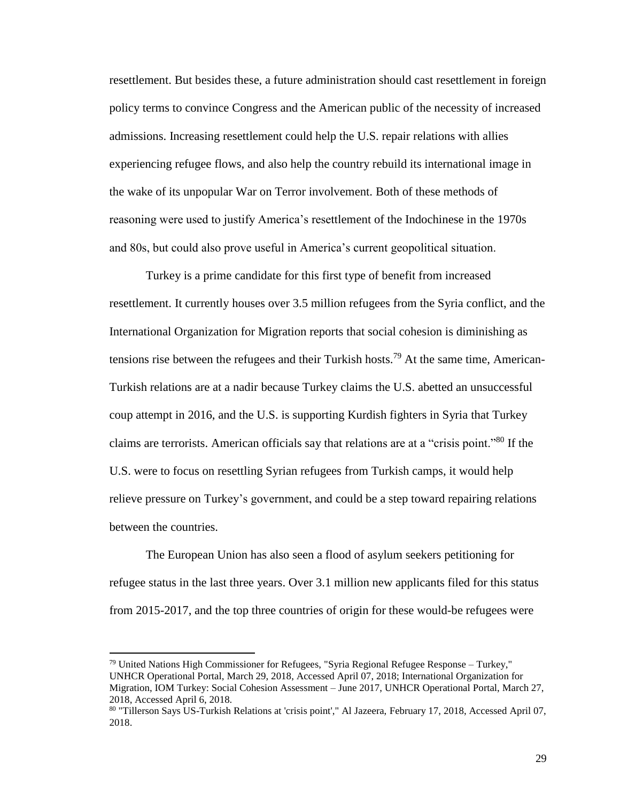resettlement. But besides these, a future administration should cast resettlement in foreign policy terms to convince Congress and the American public of the necessity of increased admissions. Increasing resettlement could help the U.S. repair relations with allies experiencing refugee flows, and also help the country rebuild its international image in the wake of its unpopular War on Terror involvement. Both of these methods of reasoning were used to justify America's resettlement of the Indochinese in the 1970s and 80s, but could also prove useful in America's current geopolitical situation.

Turkey is a prime candidate for this first type of benefit from increased resettlement. It currently houses over 3.5 million refugees from the Syria conflict, and the International Organization for Migration reports that social cohesion is diminishing as tensions rise between the refugees and their Turkish hosts.<sup>79</sup> At the same time, American-Turkish relations are at a nadir because Turkey claims the U.S. abetted an unsuccessful coup attempt in 2016, and the U.S. is supporting Kurdish fighters in Syria that Turkey claims are terrorists. American officials say that relations are at a "crisis point."<sup>80</sup> If the U.S. were to focus on resettling Syrian refugees from Turkish camps, it would help relieve pressure on Turkey's government, and could be a step toward repairing relations between the countries.

The European Union has also seen a flood of asylum seekers petitioning for refugee status in the last three years. Over 3.1 million new applicants filed for this status from 2015-2017, and the top three countries of origin for these would-be refugees were

 $79$  United Nations High Commissioner for Refugees, "Syria Regional Refugee Response – Turkey," UNHCR Operational Portal, March 29, 2018, Accessed April 07, 2018; International Organization for Migration, IOM Turkey: Social Cohesion Assessment – June 2017, UNHCR Operational Portal, March 27, 2018, Accessed April 6, 2018.

<sup>80</sup> "Tillerson Says US-Turkish Relations at 'crisis point'," Al Jazeera, February 17, 2018, Accessed April 07, 2018.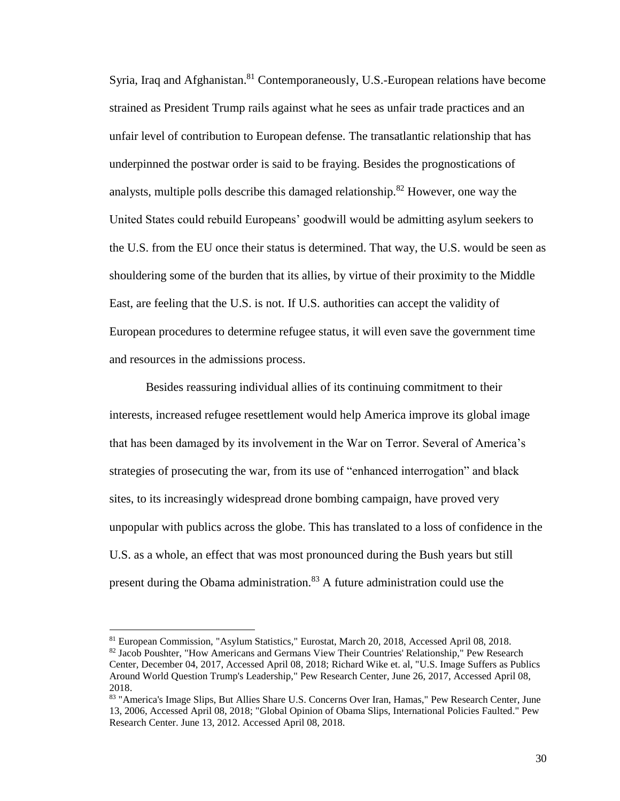Syria, Iraq and Afghanistan.<sup>81</sup> Contemporaneously, U.S.-European relations have become strained as President Trump rails against what he sees as unfair trade practices and an unfair level of contribution to European defense. The transatlantic relationship that has underpinned the postwar order is said to be fraying. Besides the prognostications of analysts, multiple polls describe this damaged relationship.<sup>82</sup> However, one way the United States could rebuild Europeans' goodwill would be admitting asylum seekers to the U.S. from the EU once their status is determined. That way, the U.S. would be seen as shouldering some of the burden that its allies, by virtue of their proximity to the Middle East, are feeling that the U.S. is not. If U.S. authorities can accept the validity of European procedures to determine refugee status, it will even save the government time and resources in the admissions process.

Besides reassuring individual allies of its continuing commitment to their interests, increased refugee resettlement would help America improve its global image that has been damaged by its involvement in the War on Terror. Several of America's strategies of prosecuting the war, from its use of "enhanced interrogation" and black sites, to its increasingly widespread drone bombing campaign, have proved very unpopular with publics across the globe. This has translated to a loss of confidence in the U.S. as a whole, an effect that was most pronounced during the Bush years but still present during the Obama administration.<sup>83</sup> A future administration could use the

<sup>81</sup> European Commission, "Asylum Statistics," Eurostat, March 20, 2018, Accessed April 08, 2018. 82 Jacob Poushter, "How Americans and Germans View Their Countries' Relationship," Pew Research Center, December 04, 2017, Accessed April 08, 2018; Richard Wike et. al, "U.S. Image Suffers as Publics Around World Question Trump's Leadership," Pew Research Center, June 26, 2017, Accessed April 08, 2018.

<sup>83 &</sup>quot;America's Image Slips, But Allies Share U.S. Concerns Over Iran, Hamas," Pew Research Center, June 13, 2006, Accessed April 08, 2018; "Global Opinion of Obama Slips, International Policies Faulted." Pew Research Center. June 13, 2012. Accessed April 08, 2018.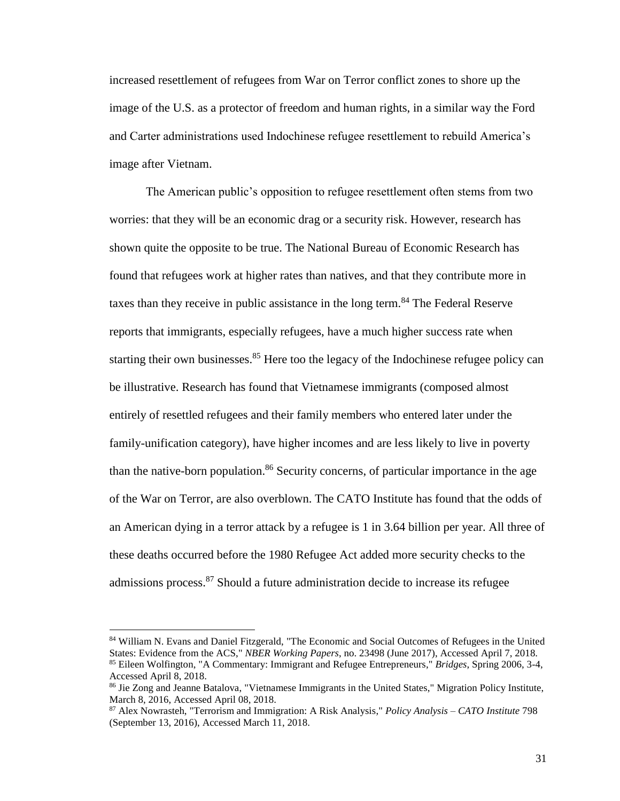increased resettlement of refugees from War on Terror conflict zones to shore up the image of the U.S. as a protector of freedom and human rights, in a similar way the Ford and Carter administrations used Indochinese refugee resettlement to rebuild America's image after Vietnam.

The American public's opposition to refugee resettlement often stems from two worries: that they will be an economic drag or a security risk. However, research has shown quite the opposite to be true. The National Bureau of Economic Research has found that refugees work at higher rates than natives, and that they contribute more in taxes than they receive in public assistance in the long term. <sup>84</sup> The Federal Reserve reports that immigrants, especially refugees, have a much higher success rate when starting their own businesses. $85$  Here too the legacy of the Indochinese refugee policy can be illustrative. Research has found that Vietnamese immigrants (composed almost entirely of resettled refugees and their family members who entered later under the family-unification category), have higher incomes and are less likely to live in poverty than the native-born population. <sup>86</sup> Security concerns, of particular importance in the age of the War on Terror, are also overblown. The CATO Institute has found that the odds of an American dying in a terror attack by a refugee is 1 in 3.64 billion per year. All three of these deaths occurred before the 1980 Refugee Act added more security checks to the admissions process.<sup>87</sup> Should a future administration decide to increase its refugee

<sup>84</sup> William N. Evans and Daniel Fitzgerald, "The Economic and Social Outcomes of Refugees in the United States: Evidence from the ACS," *NBER Working Papers*, no. 23498 (June 2017), Accessed April 7, 2018. <sup>85</sup> Eileen Wolfington, "A Commentary: Immigrant and Refugee Entrepreneurs," *Bridges*, Spring 2006, 3-4, Accessed April 8, 2018.

<sup>&</sup>lt;sup>86</sup> Jie Zong and Jeanne Batalova, "Vietnamese Immigrants in the United States," Migration Policy Institute, March 8, 2016, Accessed April 08, 2018.

<sup>87</sup> Alex Nowrasteh, "Terrorism and Immigration: A Risk Analysis," *Policy Analysis – CATO Institute* 798 (September 13, 2016), Accessed March 11, 2018.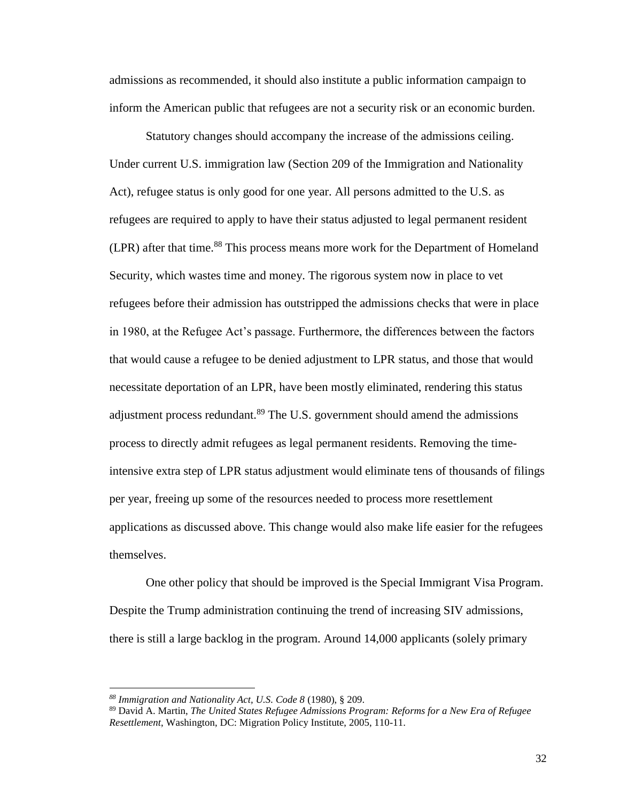admissions as recommended, it should also institute a public information campaign to inform the American public that refugees are not a security risk or an economic burden.

Statutory changes should accompany the increase of the admissions ceiling. Under current U.S. immigration law (Section 209 of the Immigration and Nationality Act), refugee status is only good for one year. All persons admitted to the U.S. as refugees are required to apply to have their status adjusted to legal permanent resident (LPR) after that time. <sup>88</sup> This process means more work for the Department of Homeland Security, which wastes time and money. The rigorous system now in place to vet refugees before their admission has outstripped the admissions checks that were in place in 1980, at the Refugee Act's passage. Furthermore, the differences between the factors that would cause a refugee to be denied adjustment to LPR status, and those that would necessitate deportation of an LPR, have been mostly eliminated, rendering this status adjustment process redundant.<sup>89</sup> The U.S. government should amend the admissions process to directly admit refugees as legal permanent residents. Removing the timeintensive extra step of LPR status adjustment would eliminate tens of thousands of filings per year, freeing up some of the resources needed to process more resettlement applications as discussed above. This change would also make life easier for the refugees themselves.

One other policy that should be improved is the Special Immigrant Visa Program. Despite the Trump administration continuing the trend of increasing SIV admissions, there is still a large backlog in the program. Around 14,000 applicants (solely primary

*<sup>88</sup> Immigration and Nationality Act, U.S. Code 8* (1980), § 209.

<sup>89</sup> David A. Martin, *The United States Refugee Admissions Program: Reforms for a New Era of Refugee Resettlement*, Washington, DC: Migration Policy Institute, 2005, 110-11.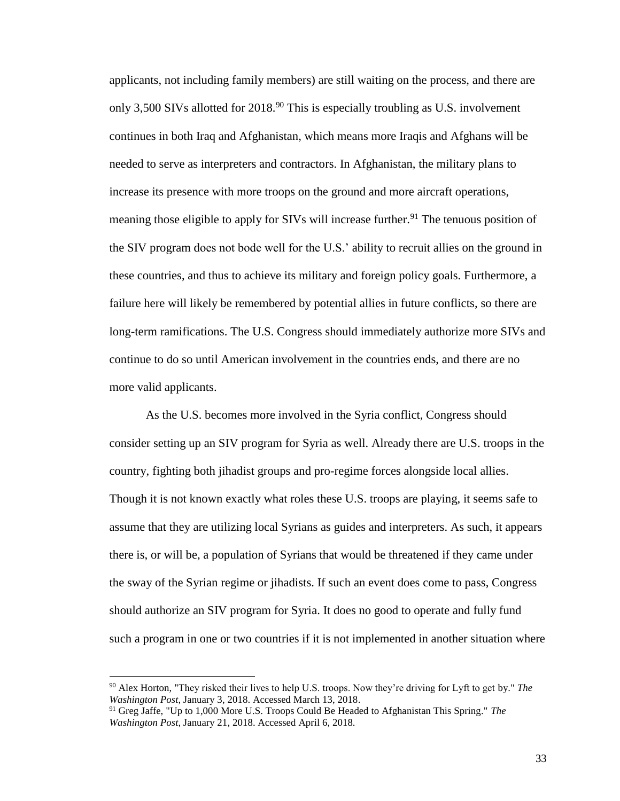applicants, not including family members) are still waiting on the process, and there are only 3,500 SIVs allotted for 2018.<sup>90</sup> This is especially troubling as U.S. involvement continues in both Iraq and Afghanistan, which means more Iraqis and Afghans will be needed to serve as interpreters and contractors. In Afghanistan, the military plans to increase its presence with more troops on the ground and more aircraft operations, meaning those eligible to apply for SIVs will increase further.<sup>91</sup> The tenuous position of the SIV program does not bode well for the U.S.' ability to recruit allies on the ground in these countries, and thus to achieve its military and foreign policy goals. Furthermore, a failure here will likely be remembered by potential allies in future conflicts, so there are long-term ramifications. The U.S. Congress should immediately authorize more SIVs and continue to do so until American involvement in the countries ends, and there are no more valid applicants.

As the U.S. becomes more involved in the Syria conflict, Congress should consider setting up an SIV program for Syria as well. Already there are U.S. troops in the country, fighting both jihadist groups and pro-regime forces alongside local allies. Though it is not known exactly what roles these U.S. troops are playing, it seems safe to assume that they are utilizing local Syrians as guides and interpreters. As such, it appears there is, or will be, a population of Syrians that would be threatened if they came under the sway of the Syrian regime or jihadists. If such an event does come to pass, Congress should authorize an SIV program for Syria. It does no good to operate and fully fund such a program in one or two countries if it is not implemented in another situation where

<sup>90</sup> Alex Horton, "They risked their lives to help U.S. troops. Now they're driving for Lyft to get by." *The Washington Post*, January 3, 2018. Accessed March 13, 2018.

<sup>91</sup> Greg Jaffe, "Up to 1,000 More U.S. Troops Could Be Headed to Afghanistan This Spring." *The Washington Post*, January 21, 2018. Accessed April 6, 2018.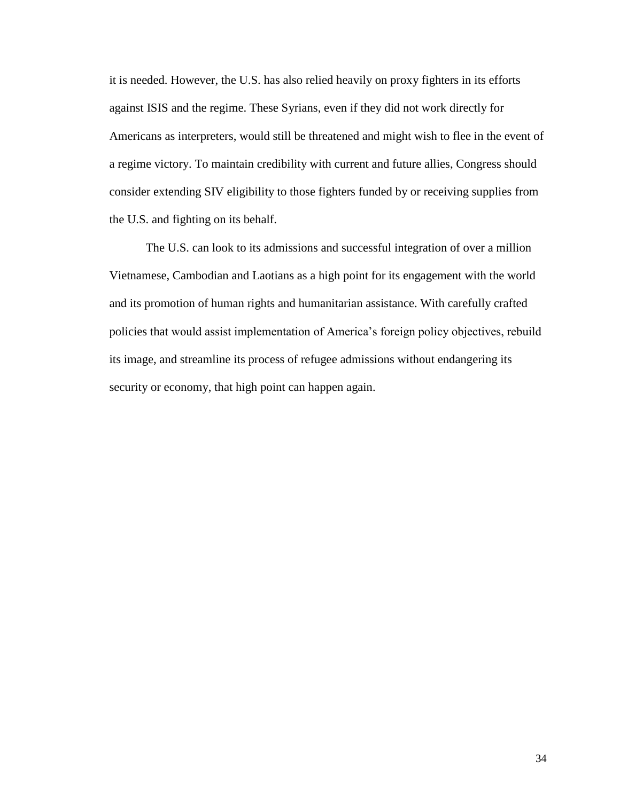it is needed. However, the U.S. has also relied heavily on proxy fighters in its efforts against ISIS and the regime. These Syrians, even if they did not work directly for Americans as interpreters, would still be threatened and might wish to flee in the event of a regime victory. To maintain credibility with current and future allies, Congress should consider extending SIV eligibility to those fighters funded by or receiving supplies from the U.S. and fighting on its behalf.

The U.S. can look to its admissions and successful integration of over a million Vietnamese, Cambodian and Laotians as a high point for its engagement with the world and its promotion of human rights and humanitarian assistance. With carefully crafted policies that would assist implementation of America's foreign policy objectives, rebuild its image, and streamline its process of refugee admissions without endangering its security or economy, that high point can happen again.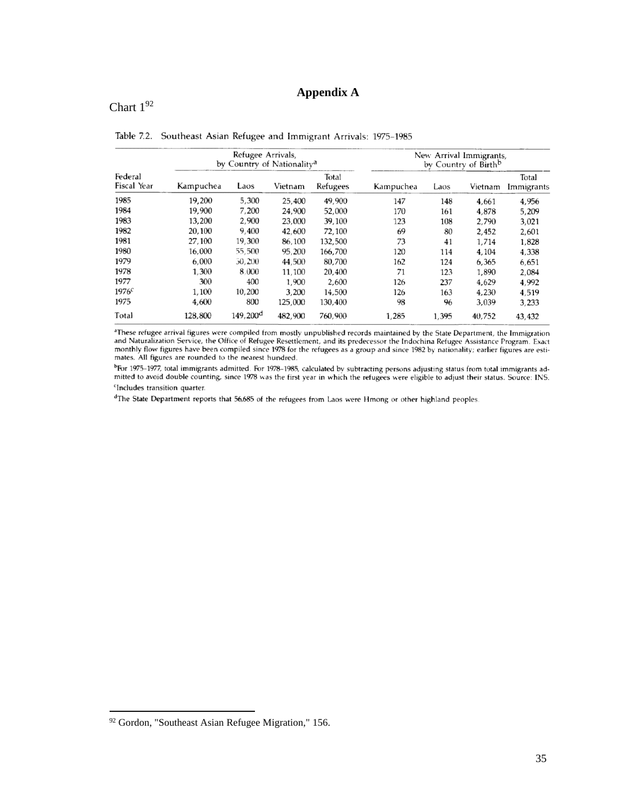# **Appendix A**

# <span id="page-38-0"></span>Chart  $1^{92}$

| Federal<br>Fiscal Year | Refugee Arrivals,<br>by Country of Nationality <sup>a</sup> |                      |         |                   | New Arrival Immigrants,<br>by Country of Birth <sup>b</sup> |       |         |                     |
|------------------------|-------------------------------------------------------------|----------------------|---------|-------------------|-------------------------------------------------------------|-------|---------|---------------------|
|                        | Kampuchea                                                   | Laos                 | Vietnam | Total<br>Refugees | Kampuchea                                                   | Laos  | Vietnam | Total<br>Immigrants |
| 1985                   | 19,200                                                      | 5,300                | 25,400  | 49.900            | 147                                                         | 148   | 4,661   | 4,956               |
| 1984                   | 19,900                                                      | 7,200                | 24.900  | 52,000            | 170                                                         | 161   | 4,878   | 5,209               |
| 1983                   | 13,200                                                      | 2,900                | 23,000  | 39,100            | 123                                                         | 108   | 2.790   | 3,021               |
| 1982                   | 20,100                                                      | 9,400                | 42,600  | 72,100            | 69                                                          | 80    | 2,452   | 2,601               |
| 1981                   | 27.100                                                      | 19,300               | 86,100  | 132,500           | 73                                                          | 41    | 1,714   | 1,828               |
| 1980                   | 16.000                                                      | 55,500               | 95,200  | 166,700           | 120                                                         | 114   | 4,104   | 4,338               |
| 1979                   | 6.000                                                       | 30,200               | 44,500  | 80,700            | 162                                                         | 124   | 6,365   | 6,651               |
| 1978                   | 1.300                                                       | 8.000                | 11,100  | 20,400            | 71                                                          | 123   | 1.890   | 2.084               |
| 1977                   | 300                                                         | 400                  | 1,900   | 2.600             | 126                                                         | 237   | 4,629   | 4,992               |
| 1976c                  | 1,100                                                       | 10,200               | 3,200   | 14,500            | 126                                                         | 163   | 4,230   | 4,519               |
| 1975                   | 4,600                                                       | 800                  | 125,000 | 130,400           | 98                                                          | 96    | 3,039   | 3,233               |
| Total                  | 128,800                                                     | 149.200 <sup>d</sup> | 482,900 | 760,900           | 1,285                                                       | 1,395 | 40,752  | 43,432              |

Table 7.2. Southeast Asian Refugee and Immigrant Arrivals: 1975-1985

<sup>a</sup>These refugee arrival figures were compiled from mostly unpublished records maintained by the State Department, the Immigration<br>and Naturalization Service, the Office of Refugee Resettlement, and its predecessor the Ind monthly flow figures have been compiled since 1978 for the refugees as a group and since 1982 by nationality; earlier figures are estimates. All figures are rounded to the nearest hundred.

<sup>b</sup>For 1975-1977, total immigrants admitted. For 1978-1985, calculated by subtracting persons adjusting status from total immigrants admitted to avoid double counting, since 1978 was the first year in which the refugees we <sup>c</sup>Includes transition quarter.

<sup>d</sup>The State Department reports that 56,685 of the refugees from Laos were Hmong or other highland peoples.

<sup>92</sup> Gordon, "Southeast Asian Refugee Migration," 156.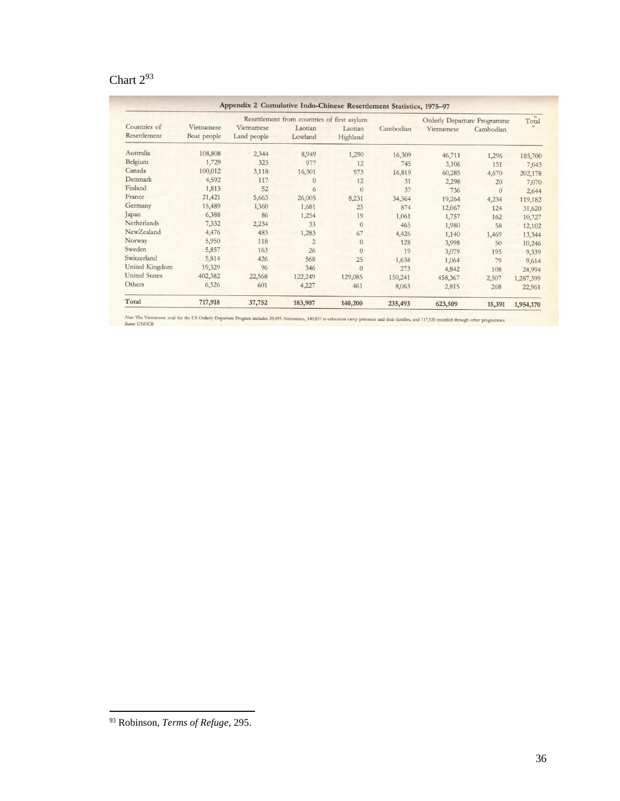# Chart  $2^{93}$

|                              |                           | Resettlement from countries of first asylum | Orderly Departure Programme |                     | Total     |            |           |           |
|------------------------------|---------------------------|---------------------------------------------|-----------------------------|---------------------|-----------|------------|-----------|-----------|
| Countries of<br>Resettlement | Vietnamese<br>Boat people | Vietnamese<br>Land people                   | Laotian<br>Lowland          | Laotian<br>Highland | Cambodian | Vietnamese | Cambodian |           |
| Australia                    | 108,808                   | 2,344                                       | 8,949                       | 1,290               | 16,309    | 46,711     | 1,296     | 185,700   |
| Belgium                      | 1,729                     | 323                                         | 977                         | 12                  | 745       | 3,106      | 151       | 7,043     |
| Canada                       | 100,012                   | 3,118                                       | 16,301                      | 973                 | 16,819    | 60,285     | 4,670     | 202,178   |
| Denmark                      | 4,592                     | 117                                         | $\Omega$                    | 12                  | 31        | 2,298      | 20        | 7,070     |
| Finland                      | 1,813                     | 52                                          | 6                           | $\mathbf{0}$        | 37        | 736        | $\theta$  | 2,644     |
| France                       | 21,421                    | 5,663                                       | 26,005                      | 8,231               | 34,364    | 19,264     | 4,234     | 119,182   |
| Germany                      | 15,489                    | 1,360                                       | 1,681                       | 25                  | 874       | 12,067     | 124       | 31,620    |
| Japan                        | 6,388                     | 86                                          | 1,254                       | 19                  | 1,061     | 1,757      | 162       | 10,727    |
| Netherlands                  | 7,332                     | 2,234                                       | 33                          | $\mathbf{0}$        | 465       | 1,980      | 58        | 12,102    |
| NewZealand                   | 4,476                     | 483                                         | 1,283                       | 67                  | 4,426     | 1,140      | 1,469     | 13,344    |
| Norway                       | 5,950                     | 118                                         | $\overline{2}$              | $\mathbf{0}$        | 128       | 3,998      | 50        | 10,246    |
| Sweden                       | 5,857                     | 163                                         | 26                          | $\theta$            | 19        | 3,079      | 195       | 9,339     |
| Switzerland                  | 5,814                     | 426                                         | 568                         | 25                  | 1,638     | 1,064      | 79        | 9,614     |
| United Kingdom               | 19,329                    | 96                                          | 346                         | $\Omega$            | 273       | 4,842      | 108       | 24,994    |
| <b>United States</b>         | 402,382                   | 22,568                                      | 122,249                     | 129,085             | 150,241   | 458,367    | 2,507     | 1,287,399 |
| Others                       | 6,526                     | 601                                         | 4,227                       | 461                 | 8,063     | 2,815      | 268       | 22,961    |
| Total                        | 717,918                   | 37,752                                      | 183,907                     | 140,200             | 235,493   | 623,509    | 15,391    | 1,954,170 |

Note: The Vietnamese total for the US Orderly Departure Program includes 39,495 Amerasians, 140,857 re-education camp prisoners and their families, and 117,520 resettled through other programmes.

<sup>93</sup> Robinson, *Terms of Refuge*, 295.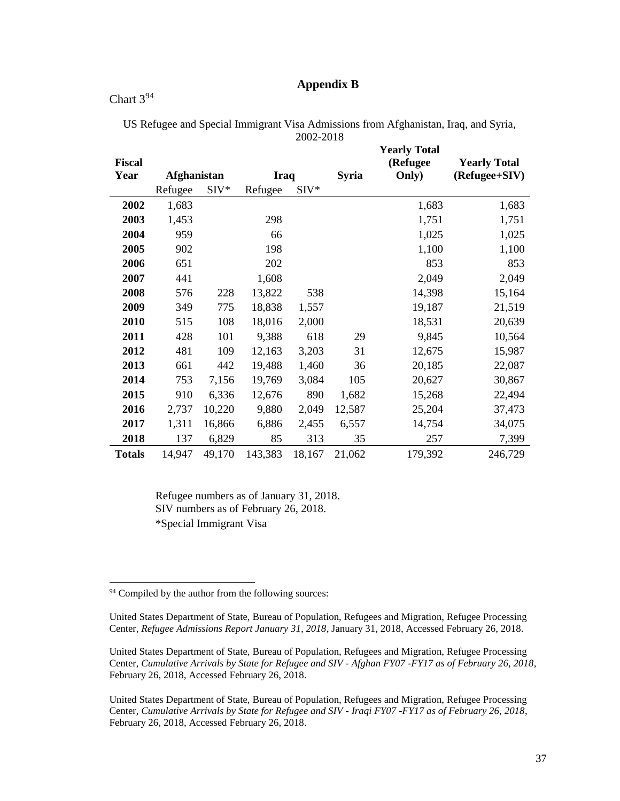## **Appendix B**

### <span id="page-40-0"></span>Chart  $3^{94}$

|               |                    |        |             |        |              | <b>Yearly Total</b> |                     |
|---------------|--------------------|--------|-------------|--------|--------------|---------------------|---------------------|
| <b>Fiscal</b> |                    |        |             |        |              | (Refugee)           | <b>Yearly Total</b> |
| Year          | <b>Afghanistan</b> |        | <b>Iraq</b> |        | <b>Syria</b> | Only)               | (Refugee+SIV)       |
|               | Refugee            | $SIV*$ | Refugee     | $SIV*$ |              |                     |                     |
| 2002          | 1,683              |        |             |        |              | 1,683               | 1,683               |
| 2003          | 1,453              |        | 298         |        |              | 1,751               | 1,751               |
| 2004          | 959                |        | 66          |        |              | 1,025               | 1,025               |
| 2005          | 902                |        | 198         |        |              | 1,100               | 1,100               |
| 2006          | 651                |        | 202         |        |              | 853                 | 853                 |
| 2007          | 441                |        | 1,608       |        |              | 2,049               | 2,049               |
| 2008          | 576                | 228    | 13,822      | 538    |              | 14,398              | 15,164              |
| 2009          | 349                | 775    | 18,838      | 1,557  |              | 19,187              | 21,519              |
| 2010          | 515                | 108    | 18,016      | 2,000  |              | 18,531              | 20,639              |
| 2011          | 428                | 101    | 9,388       | 618    | 29           | 9,845               | 10,564              |
| 2012          | 481                | 109    | 12,163      | 3,203  | 31           | 12,675              | 15,987              |
| 2013          | 661                | 442    | 19,488      | 1,460  | 36           | 20,185              | 22,087              |
| 2014          | 753                | 7,156  | 19,769      | 3,084  | 105          | 20,627              | 30,867              |
| 2015          | 910                | 6,336  | 12,676      | 890    | 1,682        | 15,268              | 22,494              |
| 2016          | 2,737              | 10,220 | 9,880       | 2,049  | 12,587       | 25,204              | 37,473              |
| 2017          | 1,311              | 16,866 | 6,886       | 2,455  | 6,557        | 14,754              | 34,075              |
| 2018          | 137                | 6,829  | 85          | 313    | 35           | 257                 | 7,399               |
| <b>Totals</b> | 14,947             | 49,170 | 143,383     | 18,167 | 21,062       | 179,392             | 246,729             |

US Refugee and Special Immigrant Visa Admissions from Afghanistan, Iraq, and Syria, 2002-2018

Refugee numbers as of January 31, 2018. SIV numbers as of February 26, 2018. \*Special Immigrant Visa

<sup>&</sup>lt;sup>94</sup> Compiled by the author from the following sources:

United States Department of State, Bureau of Population, Refugees and Migration, Refugee Processing Center, *Refugee Admissions Report January 31, 2018*, January 31, 2018, Accessed February 26, 2018.

United States Department of State, Bureau of Population, Refugees and Migration, Refugee Processing Center, *Cumulative Arrivals by State for Refugee and SIV - Afghan FY07 -FY17 as of February 26, 2018*, February 26, 2018, Accessed February 26, 2018.

United States Department of State, Bureau of Population, Refugees and Migration, Refugee Processing Center, *Cumulative Arrivals by State for Refugee and SIV - Iraqi FY07 -FY17 as of February 26, 2018*, February 26, 2018, Accessed February 26, 2018.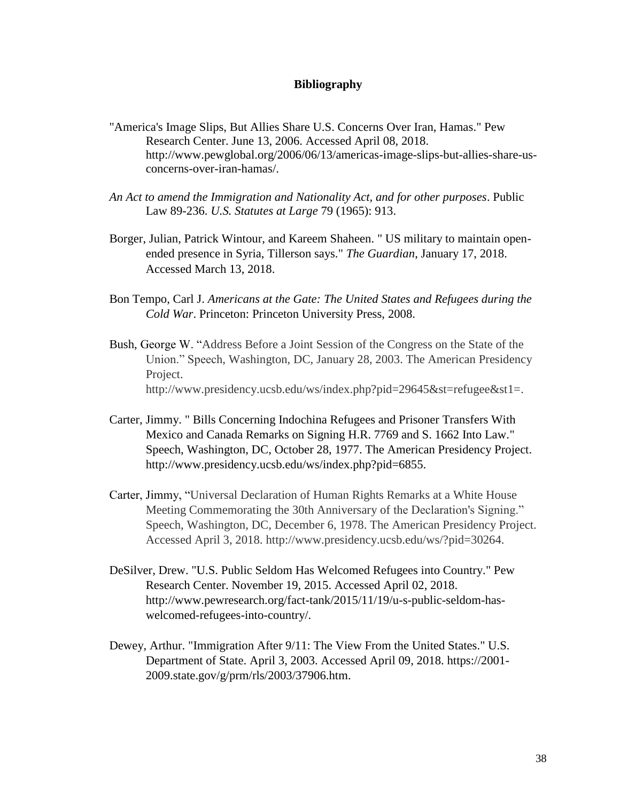#### <span id="page-41-0"></span>**Bibliography**

- "America's Image Slips, But Allies Share U.S. Concerns Over Iran, Hamas." Pew Research Center. June 13, 2006. Accessed April 08, 2018. http://www.pewglobal.org/2006/06/13/americas-image-slips-but-allies-share-usconcerns-over-iran-hamas/.
- *An Act to amend the Immigration and Nationality Act, and for other purposes*. Public Law 89-236. *U.S. Statutes at Large* 79 (1965): 913.
- Borger, Julian, Patrick Wintour, and Kareem Shaheen. " US military to maintain openended presence in Syria, Tillerson says." *The Guardian*, January 17, 2018. Accessed March 13, 2018.
- Bon Tempo, Carl J. *Americans at the Gate: The United States and Refugees during the Cold War*. Princeton: Princeton University Press, 2008.
- Bush, George W. "Address Before a Joint Session of the Congress on the State of the Union." Speech, Washington, DC, January 28, 2003. The American Presidency Project. http://www.presidency.ucsb.edu/ws/index.php?pid=29645&st=refugee&st1=.
- Carter, Jimmy. " Bills Concerning Indochina Refugees and Prisoner Transfers With Mexico and Canada Remarks on Signing H.R. 7769 and S. 1662 Into Law." Speech, Washington, DC, October 28, 1977. The American Presidency Project. http://www.presidency.ucsb.edu/ws/index.php?pid=6855.
- Carter, Jimmy, "Universal Declaration of Human Rights Remarks at a White House Meeting Commemorating the 30th Anniversary of the Declaration's Signing." Speech, Washington, DC, December 6, 1978. The American Presidency Project. Accessed April 3, 2018. http://www.presidency.ucsb.edu/ws/?pid=30264.
- DeSilver, Drew. "U.S. Public Seldom Has Welcomed Refugees into Country." Pew Research Center. November 19, 2015. Accessed April 02, 2018. http://www.pewresearch.org/fact-tank/2015/11/19/u-s-public-seldom-haswelcomed-refugees-into-country/.
- Dewey, Arthur. "Immigration After 9/11: The View From the United States." U.S. Department of State. April 3, 2003. Accessed April 09, 2018. https://2001- 2009.state.gov/g/prm/rls/2003/37906.htm.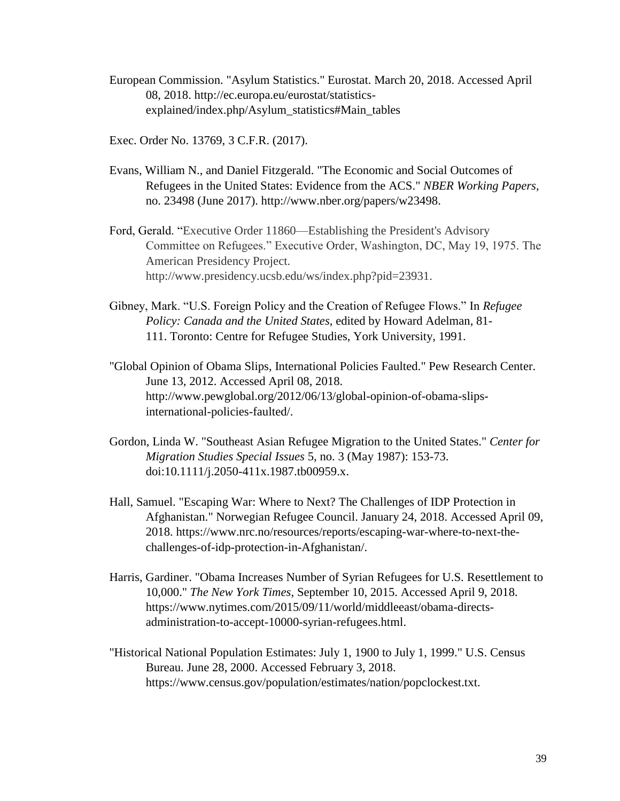- European Commission. "Asylum Statistics." Eurostat. March 20, 2018. Accessed April 08, 2018. http://ec.europa.eu/eurostat/statisticsexplained/index.php/Asylum\_statistics#Main\_tables
- Exec. Order No. 13769, 3 C.F.R. (2017).
- Evans, William N., and Daniel Fitzgerald. "The Economic and Social Outcomes of Refugees in the United States: Evidence from the ACS." *NBER Working Papers*, no. 23498 (June 2017). http://www.nber.org/papers/w23498.
- Ford, Gerald. "Executive Order 11860—Establishing the President's Advisory Committee on Refugees." Executive Order, Washington, DC, May 19, 1975. The American Presidency Project. http://www.presidency.ucsb.edu/ws/index.php?pid=23931.
- Gibney, Mark. "U.S. Foreign Policy and the Creation of Refugee Flows." In *Refugee Policy: Canada and the United States*, edited by Howard Adelman, 81- 111. Toronto: Centre for Refugee Studies, York University, 1991.
- "Global Opinion of Obama Slips, International Policies Faulted." Pew Research Center. June 13, 2012. Accessed April 08, 2018. http://www.pewglobal.org/2012/06/13/global-opinion-of-obama-slipsinternational-policies-faulted/.
- Gordon, Linda W. "Southeast Asian Refugee Migration to the United States." *Center for Migration Studies Special Issues* 5, no. 3 (May 1987): 153-73. doi:10.1111/j.2050-411x.1987.tb00959.x.
- Hall, Samuel. "Escaping War: Where to Next? The Challenges of IDP Protection in Afghanistan." Norwegian Refugee Council. January 24, 2018. Accessed April 09, 2018. https://www.nrc.no/resources/reports/escaping-war-where-to-next-thechallenges-of-idp-protection-in-Afghanistan/.
- Harris, Gardiner. "Obama Increases Number of Syrian Refugees for U.S. Resettlement to 10,000." *The New York Times*, September 10, 2015. Accessed April 9, 2018. https://www.nytimes.com/2015/09/11/world/middleeast/obama-directsadministration-to-accept-10000-syrian-refugees.html.
- "Historical National Population Estimates: July 1, 1900 to July 1, 1999." U.S. Census Bureau. June 28, 2000. Accessed February 3, 2018. https://www.census.gov/population/estimates/nation/popclockest.txt.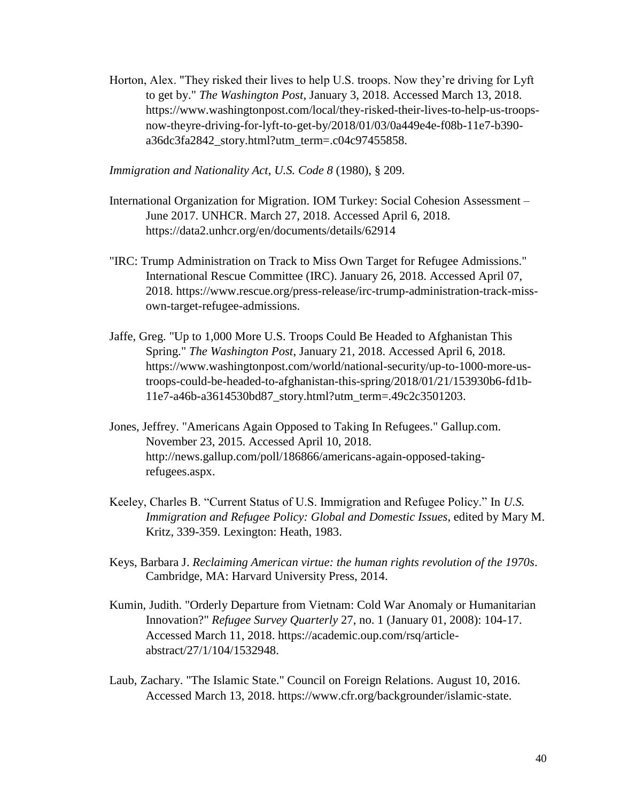Horton, Alex. "They risked their lives to help U.S. troops. Now they're driving for Lyft to get by." *The Washington Post*, January 3, 2018. Accessed March 13, 2018. https://www.washingtonpost.com/local/they-risked-their-lives-to-help-us-troopsnow-theyre-driving-for-lyft-to-get-by/2018/01/03/0a449e4e-f08b-11e7-b390  $a36dc3fa2842$  story.html?utm\_term=.c04c97455858.

*Immigration and Nationality Act*, *U.S. Code 8* (1980), § 209.

- International Organization for Migration. IOM Turkey: Social Cohesion Assessment June 2017. UNHCR. March 27, 2018. Accessed April 6, 2018. https://data2.unhcr.org/en/documents/details/62914
- "IRC: Trump Administration on Track to Miss Own Target for Refugee Admissions." International Rescue Committee (IRC). January 26, 2018. Accessed April 07, 2018. https://www.rescue.org/press-release/irc-trump-administration-track-missown-target-refugee-admissions.
- Jaffe, Greg. "Up to 1,000 More U.S. Troops Could Be Headed to Afghanistan This Spring." *The Washington Post*, January 21, 2018. Accessed April 6, 2018. https://www.washingtonpost.com/world/national-security/up-to-1000-more-ustroops-could-be-headed-to-afghanistan-this-spring/2018/01/21/153930b6-fd1b-11e7-a46b-a3614530bd87\_story.html?utm\_term=.49c2c3501203.
- Jones, Jeffrey. "Americans Again Opposed to Taking In Refugees." Gallup.com. November 23, 2015. Accessed April 10, 2018. http://news.gallup.com/poll/186866/americans-again-opposed-takingrefugees.aspx.
- Keeley, Charles B. "Current Status of U.S. Immigration and Refugee Policy." In *U.S. Immigration and Refugee Policy: Global and Domestic Issues*, edited by Mary M. Kritz, 339-359. Lexington: Heath, 1983.
- Keys, Barbara J. *Reclaiming American virtue: the human rights revolution of the 1970s*. Cambridge, MA: Harvard University Press, 2014.
- Kumin, Judith. "Orderly Departure from Vietnam: Cold War Anomaly or Humanitarian Innovation?" *Refugee Survey Quarterly* 27, no. 1 (January 01, 2008): 104-17. Accessed March 11, 2018. https://academic.oup.com/rsq/articleabstract/27/1/104/1532948.
- Laub, Zachary. "The Islamic State." Council on Foreign Relations. August 10, 2016. Accessed March 13, 2018. https://www.cfr.org/backgrounder/islamic-state.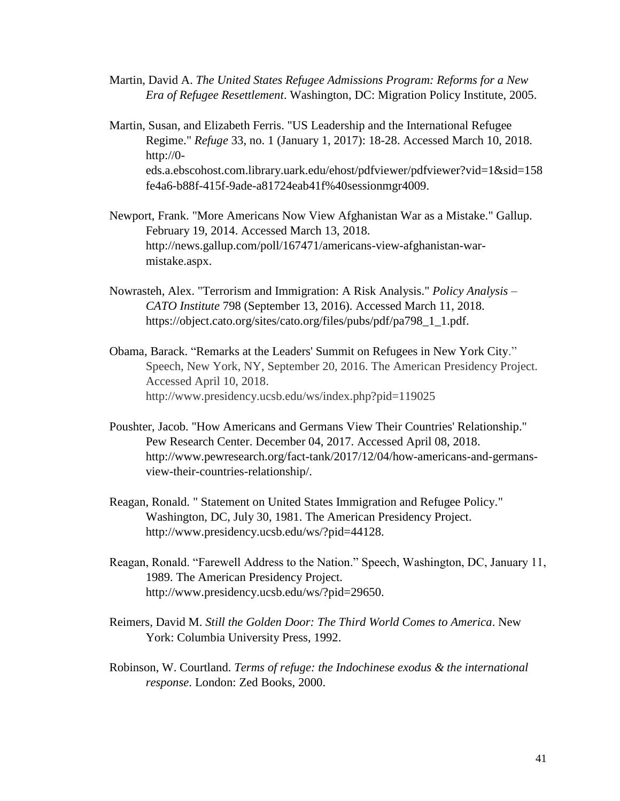- Martin, David A. *The United States Refugee Admissions Program: Reforms for a New Era of Refugee Resettlement*. Washington, DC: Migration Policy Institute, 2005.
- Martin, Susan, and Elizabeth Ferris. "US Leadership and the International Refugee Regime." *Refuge* 33, no. 1 (January 1, 2017): 18-28. Accessed March 10, 2018. http://0 eds.a.ebscohost.com.library.uark.edu/ehost/pdfviewer/pdfviewer?vid=1&sid=158 fe4a6-b88f-415f-9ade-a81724eab41f%40sessionmgr4009.
- Newport, Frank. "More Americans Now View Afghanistan War as a Mistake." Gallup. February 19, 2014. Accessed March 13, 2018. http://news.gallup.com/poll/167471/americans-view-afghanistan-warmistake.aspx.
- Nowrasteh, Alex. "Terrorism and Immigration: A Risk Analysis." *Policy Analysis – CATO Institute* 798 (September 13, 2016). Accessed March 11, 2018. https://object.cato.org/sites/cato.org/files/pubs/pdf/pa798\_1\_1.pdf.
- Obama, Barack. "Remarks at the Leaders' Summit on Refugees in New York City." Speech, New York, NY, September 20, 2016. The American Presidency Project. Accessed April 10, 2018. http://www.presidency.ucsb.edu/ws/index.php?pid=119025
- Poushter, Jacob. "How Americans and Germans View Their Countries' Relationship." Pew Research Center. December 04, 2017. Accessed April 08, 2018. http://www.pewresearch.org/fact-tank/2017/12/04/how-americans-and-germansview-their-countries-relationship/.
- Reagan, Ronald. " Statement on United States Immigration and Refugee Policy." Washington, DC, July 30, 1981. The American Presidency Project. http://www.presidency.ucsb.edu/ws/?pid=44128.
- Reagan, Ronald. "Farewell Address to the Nation." Speech, Washington, DC, January 11, 1989. The American Presidency Project. http://www.presidency.ucsb.edu/ws/?pid=29650.
- Reimers, David M. *Still the Golden Door: The Third World Comes to America*. New York: Columbia University Press, 1992.
- Robinson, W. Courtland. *Terms of refuge: the Indochinese exodus & the international response*. London: Zed Books, 2000.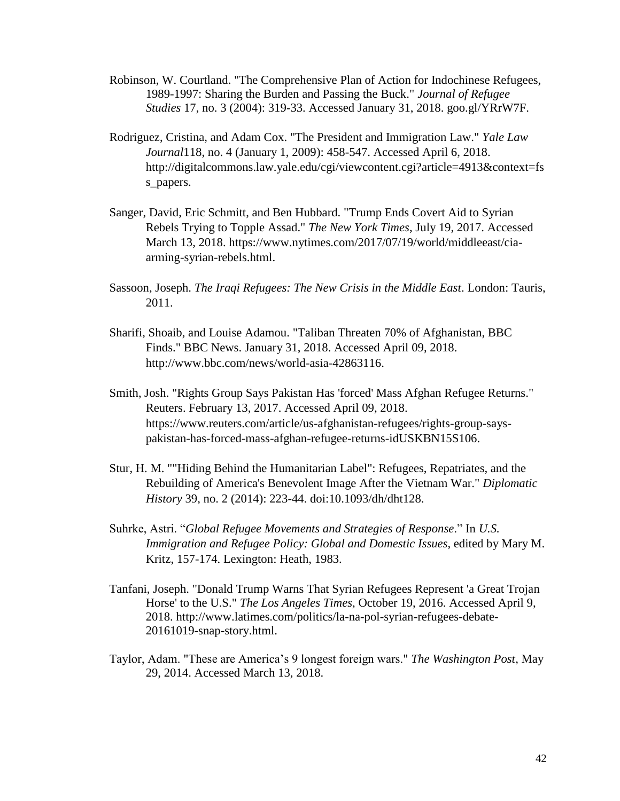- Robinson, W. Courtland. "The Comprehensive Plan of Action for Indochinese Refugees, 1989-1997: Sharing the Burden and Passing the Buck." *Journal of Refugee Studies* 17, no. 3 (2004): 319-33. Accessed January 31, 2018. goo.gl/YRrW7F.
- Rodriguez, Cristina, and Adam Cox. "The President and Immigration Law." *Yale Law Journal*118, no. 4 (January 1, 2009): 458-547. Accessed April 6, 2018. http://digitalcommons.law.yale.edu/cgi/viewcontent.cgi?article=4913&context=fs s\_papers.
- Sanger, David, Eric Schmitt, and Ben Hubbard. "Trump Ends Covert Aid to Syrian Rebels Trying to Topple Assad." *The New York Times*, July 19, 2017. Accessed March 13, 2018. https://www.nytimes.com/2017/07/19/world/middleeast/ciaarming-syrian-rebels.html.
- Sassoon, Joseph. *The Iraqi Refugees: The New Crisis in the Middle East*. London: Tauris, 2011.
- Sharifi, Shoaib, and Louise Adamou. "Taliban Threaten 70% of Afghanistan, BBC Finds." BBC News. January 31, 2018. Accessed April 09, 2018. http://www.bbc.com/news/world-asia-42863116.
- Smith, Josh. "Rights Group Says Pakistan Has 'forced' Mass Afghan Refugee Returns." Reuters. February 13, 2017. Accessed April 09, 2018. https://www.reuters.com/article/us-afghanistan-refugees/rights-group-sayspakistan-has-forced-mass-afghan-refugee-returns-idUSKBN15S106.
- Stur, H. M. ""Hiding Behind the Humanitarian Label": Refugees, Repatriates, and the Rebuilding of America's Benevolent Image After the Vietnam War." *Diplomatic History* 39, no. 2 (2014): 223-44. doi:10.1093/dh/dht128.
- Suhrke, Astri. "*Global Refugee Movements and Strategies of Response*." In *U.S. Immigration and Refugee Policy: Global and Domestic Issues*, edited by Mary M. Kritz, 157-174. Lexington: Heath, 1983.
- Tanfani, Joseph. "Donald Trump Warns That Syrian Refugees Represent 'a Great Trojan Horse' to the U.S." *The Los Angeles Times*, October 19, 2016. Accessed April 9, 2018. http://www.latimes.com/politics/la-na-pol-syrian-refugees-debate-20161019-snap-story.html.
- Taylor, Adam. "These are America's 9 longest foreign wars." *The Washington Post*, May 29, 2014. Accessed March 13, 2018.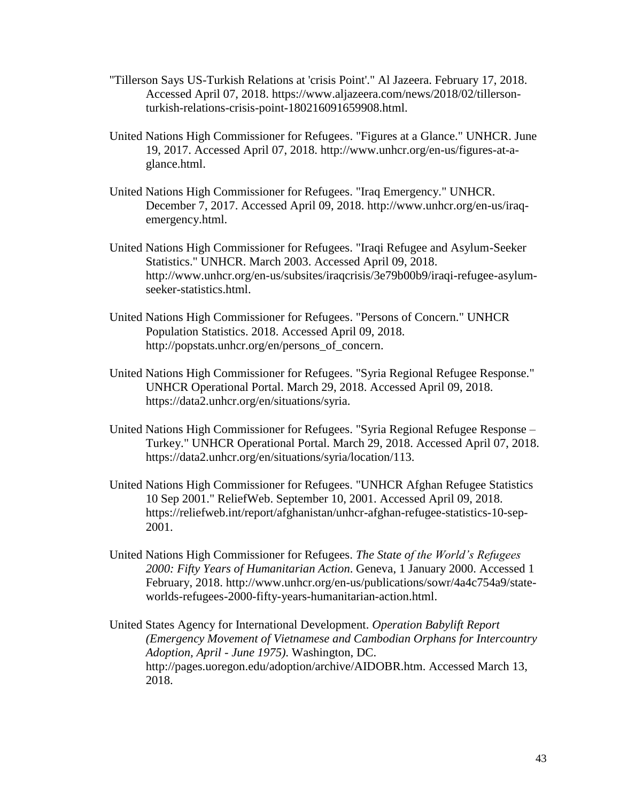- "Tillerson Says US-Turkish Relations at 'crisis Point'." Al Jazeera. February 17, 2018. Accessed April 07, 2018. https://www.aljazeera.com/news/2018/02/tillersonturkish-relations-crisis-point-180216091659908.html.
- United Nations High Commissioner for Refugees. "Figures at a Glance." UNHCR. June 19, 2017. Accessed April 07, 2018. http://www.unhcr.org/en-us/figures-at-aglance.html.
- United Nations High Commissioner for Refugees. "Iraq Emergency." UNHCR. December 7, 2017. Accessed April 09, 2018. http://www.unhcr.org/en-us/iraqemergency.html.
- United Nations High Commissioner for Refugees. "Iraqi Refugee and Asylum-Seeker Statistics." UNHCR. March 2003. Accessed April 09, 2018. http://www.unhcr.org/en-us/subsites/iraqcrisis/3e79b00b9/iraqi-refugee-asylumseeker-statistics.html.
- United Nations High Commissioner for Refugees. "Persons of Concern." UNHCR Population Statistics. 2018. Accessed April 09, 2018. http://popstats.unhcr.org/en/persons\_of\_concern.
- United Nations High Commissioner for Refugees. "Syria Regional Refugee Response." UNHCR Operational Portal. March 29, 2018. Accessed April 09, 2018. https://data2.unhcr.org/en/situations/syria.
- United Nations High Commissioner for Refugees. "Syria Regional Refugee Response Turkey." UNHCR Operational Portal. March 29, 2018. Accessed April 07, 2018. https://data2.unhcr.org/en/situations/syria/location/113.
- United Nations High Commissioner for Refugees. "UNHCR Afghan Refugee Statistics 10 Sep 2001." ReliefWeb. September 10, 2001. Accessed April 09, 2018. https://reliefweb.int/report/afghanistan/unhcr-afghan-refugee-statistics-10-sep-2001.
- United Nations High Commissioner for Refugees. *The State of the World's Refugees 2000: Fifty Years of Humanitarian Action*. Geneva, 1 January 2000. Accessed 1 February, 2018. http://www.unhcr.org/en-us/publications/sowr/4a4c754a9/stateworlds-refugees-2000-fifty-years-humanitarian-action.html.
- United States Agency for International Development. *Operation Babylift Report (Emergency Movement of Vietnamese and Cambodian Orphans for Intercountry Adoption, April - June 1975)*. Washington, DC. http://pages.uoregon.edu/adoption/archive/AIDOBR.htm. Accessed March 13, 2018.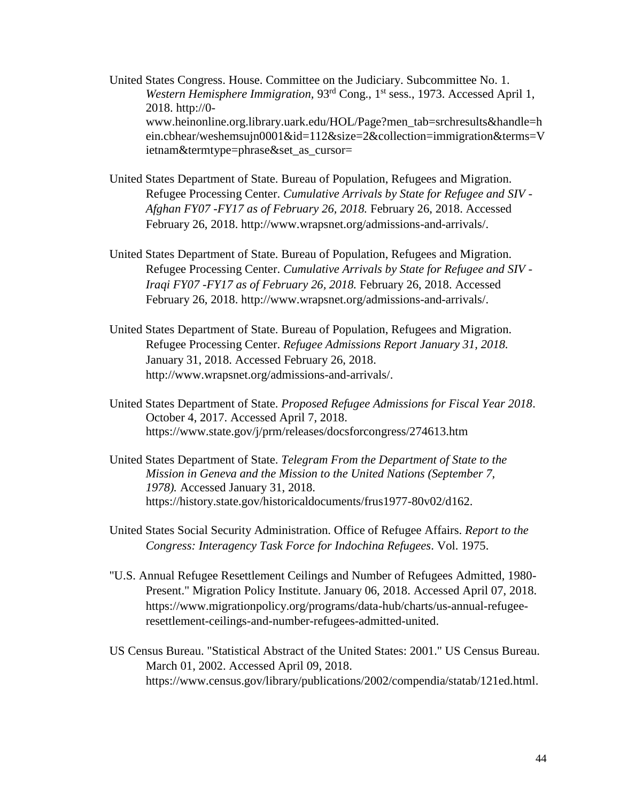United States Congress. House. Committee on the Judiciary. Subcommittee No. 1. Western Hemisphere Immigration, 93<sup>rd</sup> Cong., 1<sup>st</sup> sess., 1973. Accessed April 1, 2018. http://0 www.heinonline.org.library.uark.edu/HOL/Page?men\_tab=srchresults&handle=h ein.cbhear/weshemsujn0001&id=112&size=2&collection=immigration&terms=V ietnam&termtype=phrase&set\_as\_cursor=

- United States Department of State. Bureau of Population, Refugees and Migration. Refugee Processing Center. *Cumulative Arrivals by State for Refugee and SIV - Afghan FY07 -FY17 as of February 26, 2018.* February 26, 2018. Accessed February 26, 2018. http://www.wrapsnet.org/admissions-and-arrivals/.
- United States Department of State. Bureau of Population, Refugees and Migration. Refugee Processing Center. *Cumulative Arrivals by State for Refugee and SIV - Iraqi FY07 -FY17 as of February 26, 2018.* February 26, 2018. Accessed February 26, 2018. http://www.wrapsnet.org/admissions-and-arrivals/.
- United States Department of State. Bureau of Population, Refugees and Migration. Refugee Processing Center. *Refugee Admissions Report January 31, 2018.* January 31, 2018. Accessed February 26, 2018. http://www.wrapsnet.org/admissions-and-arrivals/.
- United States Department of State. *Proposed Refugee Admissions for Fiscal Year 2018*. October 4, 2017. Accessed April 7, 2018. https://www.state.gov/j/prm/releases/docsforcongress/274613.htm
- United States Department of State. *Telegram From the Department of State to the Mission in Geneva and the Mission to the United Nations (September 7, 1978).* Accessed January 31, 2018. https://history.state.gov/historicaldocuments/frus1977-80v02/d162.
- United States Social Security Administration. Office of Refugee Affairs. *Report to the Congress: Interagency Task Force for Indochina Refugees*. Vol. 1975.
- "U.S. Annual Refugee Resettlement Ceilings and Number of Refugees Admitted, 1980- Present." Migration Policy Institute. January 06, 2018. Accessed April 07, 2018. https://www.migrationpolicy.org/programs/data-hub/charts/us-annual-refugeeresettlement-ceilings-and-number-refugees-admitted-united.
- US Census Bureau. "Statistical Abstract of the United States: 2001." US Census Bureau. March 01, 2002. Accessed April 09, 2018. https://www.census.gov/library/publications/2002/compendia/statab/121ed.html.